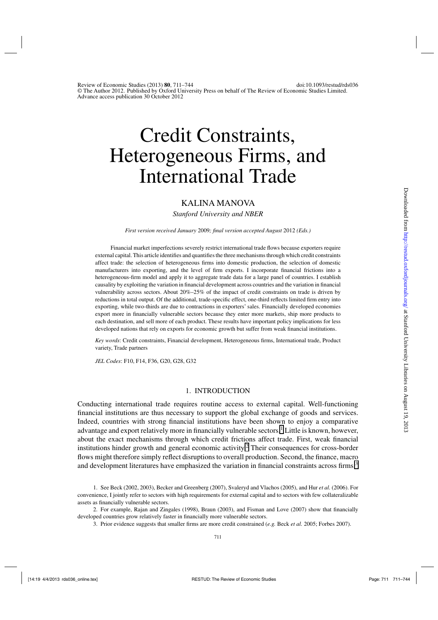# Credit Constraints, Heterogeneous Firms, and International Trade

# KALINA MANOVA

# *Stanford University and NBER*

*First version received January* 2009*; final version accepted August* 2012 *(Eds.)*

Financial market imperfections severely restrict international trade flows because exporters require external capital. This article identifies and quantifies the three mechanisms through which credit constraints affect trade: the selection of heterogeneous firms into domestic production, the selection of domestic manufacturers into exporting, and the level of firm exports. I incorporate financial frictions into a heterogeneous-firm model and apply it to aggregate trade data for a large panel of countries. I establish causality by exploiting the variation in financial development across countries and the variation in financial vulnerability across sectors. About 20%–25% of the impact of credit constraints on trade is driven by reductions in total output. Of the additional, trade-specific effect, one-third reflects limited firm entry into exporting, while two-thirds are due to contractions in exporters' sales. Financially developed economies export more in financially vulnerable sectors because they enter more markets, ship more products to each destination, and sell more of each product. These results have important policy implications for less developed nations that rely on exports for economic growth but suffer from weak financial institutions.

*Key words*: Credit constraints, Financial development, Heterogeneous firms, International trade, Product variety, Trade partners

*JEL Codes*: F10, F14, F36, G20, G28, G32

## 1. INTRODUCTION

Conducting international trade requires routine access to external capital. Well-functioning financial institutions are thus necessary to support the global exchange of goods and services. Indeed, countries with strong financial institutions have been shown to enjoy a comparative advantage and export relatively more in financially vulnerable sectors.<sup>1</sup> Little is known, however, about the exact mechanisms through which credit frictions affect trade. First, weak financial institutions hinder growth and general economic activity.<sup>2</sup> Their consequences for cross-border flows might therefore simply reflect disruptions to overall production. Second, the finance, macro and development literatures have emphasized the variation in financial constraints across firms.<sup>3</sup>

1. See Beck (2002, 2003), Becker and Greenberg (2007), Svaleryd and Vlachos (2005), and Hur *et al.* (2006). For convenience, I jointly refer to sectors with high requirements for external capital and to sectors with few collateralizable assets as financially vulnerable sectors.

2. For example, Rajan and Zingales (1998), Braun (2003), and Fisman and Love (2007) show that financially developed countries grow relatively faster in financially more vulnerable sectors.

3. Prior evidence suggests that smaller firms are more credit constrained (*e.g.* Beck *et al.* 2005; Forbes 2007).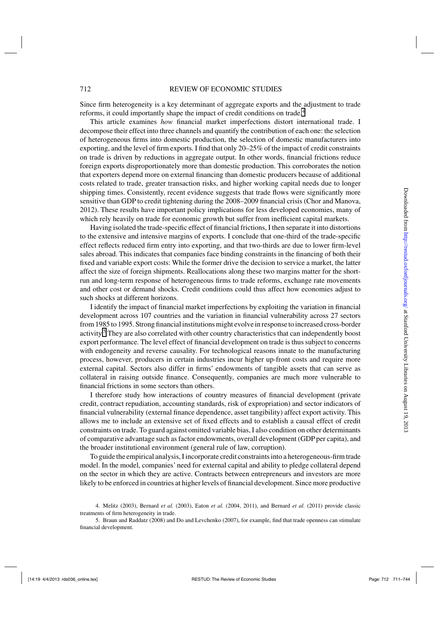Since firm heterogeneity is a key determinant of aggregate exports and the adjustment to trade reforms, it could importantly shape the impact of credit conditions on trade.<sup>4</sup>

This article examines *how* financial market imperfections distort international trade. I decompose their effect into three channels and quantify the contribution of each one: the selection of heterogeneous firms into domestic production, the selection of domestic manufacturers into exporting, and the level of firm exports. I find that only 20–25% of the impact of credit constraints on trade is driven by reductions in aggregate output. In other words, financial frictions reduce foreign exports disproportionately more than domestic production. This corroborates the notion that exporters depend more on external financing than domestic producers because of additional costs related to trade, greater transaction risks, and higher working capital needs due to longer shipping times. Consistently, recent evidence suggests that trade flows were significantly more sensitive than GDP to credit tightening during the 2008–2009 financial crisis (Chor and Manova, 2012). These results have important policy implications for less developed economies, many of which rely heavily on trade for economic growth but suffer from inefficient capital markets.

Having isolated the trade-specific effect of financial frictions, I then separate it into distortions to the extensive and intensive margins of exports. I conclude that one-third of the trade-specific effect reflects reduced firm entry into exporting, and that two-thirds are due to lower firm-level sales abroad. This indicates that companies face binding constraints in the financing of both their fixed and variable export costs: While the former drive the decision to service a market, the latter affect the size of foreign shipments. Reallocations along these two margins matter for the shortrun and long-term response of heterogeneous firms to trade reforms, exchange rate movements and other cost or demand shocks. Credit conditions could thus affect how economies adjust to such shocks at different horizons.

I identify the impact of financial market imperfections by exploiting the variation in financial development across 107 countries and the variation in financial vulnerability across 27 sectors from 1985 to 1995. Strong financial institutions might evolve in response to increased cross-border activity.<sup>5</sup> They are also correlated with other country characteristics that can independently boost export performance. The level effect of financial development on trade is thus subject to concerns with endogeneity and reverse causality. For technological reasons innate to the manufacturing process, however, producers in certain industries incur higher up-front costs and require more external capital. Sectors also differ in firms' endowments of tangible assets that can serve as collateral in raising outside finance. Consequently, companies are much more vulnerable to financial frictions in some sectors than others.

I therefore study how interactions of country measures of financial development (private credit, contract repudiation, accounting standards, risk of expropriation) and sector indicators of financial vulnerability (external finance dependence, asset tangibility) affect export activity. This allows me to include an extensive set of fixed effects and to establish a causal effect of credit constraints on trade. To guard against omitted variable bias, I also condition on other determinants of comparative advantage such as factor endowments, overall development (GDP per capita), and the broader institutional environment (general rule of law, corruption).

To guide the empirical analysis, I incorporate credit constraints into a heterogeneous-firm trade model. In the model, companies' need for external capital and ability to pledge collateral depend on the sector in which they are active. Contracts between entrepreneurs and investors are more likely to be enforced in countries at higher levels of financial development. Since more productive

<sup>4.</sup> Melitz (2003), Bernard *et al.* (2003), Eaton *et al.* (2004, 2011), and Bernard *et al.* (2011) provide classic treatments of firm heterogeneity in trade.

<sup>5.</sup> Braun and Raddatz (2008) and Do and Levchenko (2007), for example, find that trade openness can stimulate financial development.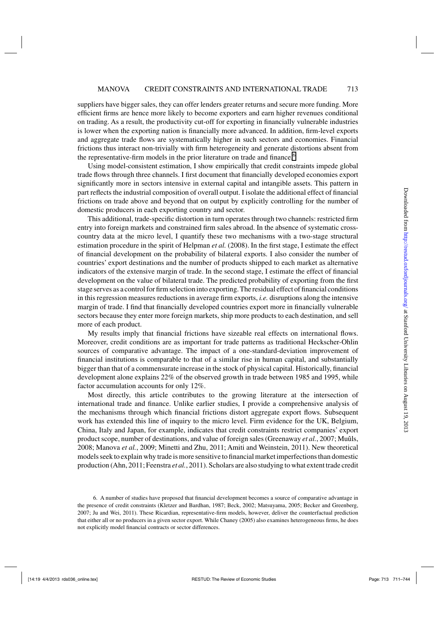suppliers have bigger sales, they can offer lenders greater returns and secure more funding. More efficient firms are hence more likely to become exporters and earn higher revenues conditional on trading. As a result, the productivity cut-off for exporting in financially vulnerable industries is lower when the exporting nation is financially more advanced. In addition, firm-level exports and aggregate trade flows are systematically higher in such sectors and economies. Financial frictions thus interact non-trivially with firm heterogeneity and generate distortions absent from the representative-firm models in the prior literature on trade and finance.<sup>6</sup>

Using model-consistent estimation, I show empirically that credit constraints impede global trade flows through three channels. I first document that financially developed economies export significantly more in sectors intensive in external capital and intangible assets. This pattern in part reflects the industrial composition of overall output. I isolate the additional effect of financial frictions on trade above and beyond that on output by explicitly controlling for the number of domestic producers in each exporting country and sector.

This additional, trade-specific distortion in turn operates through two channels: restricted firm entry into foreign markets and constrained firm sales abroad. In the absence of systematic crosscountry data at the micro level, I quantify these two mechanisms with a two-stage structural estimation procedure in the spirit of Helpman *et al.* (2008). In the first stage, I estimate the effect of financial development on the probability of bilateral exports. I also consider the number of countries' export destinations and the number of products shipped to each market as alternative indicators of the extensive margin of trade. In the second stage, I estimate the effect of financial development on the value of bilateral trade. The predicted probability of exporting from the first stage serves as a control for firm selection into exporting. The residual effect of financial conditions in this regression measures reductions in average firm exports, *i.e.* disruptions along the intensive margin of trade. I find that financially developed countries export more in financially vulnerable sectors because they enter more foreign markets, ship more products to each destination, and sell more of each product.

My results imply that financial frictions have sizeable real effects on international flows. Moreover, credit conditions are as important for trade patterns as traditional Heckscher-Ohlin sources of comparative advantage. The impact of a one-standard-deviation improvement of financial institutions is comparable to that of a similar rise in human capital, and substantially bigger than that of a commensurate increase in the stock of physical capital. Historically, financial development alone explains 22% of the observed growth in trade between 1985 and 1995, while factor accumulation accounts for only 12%.

Most directly, this article contributes to the growing literature at the intersection of international trade and finance. Unlike earlier studies, I provide a comprehensive analysis of the mechanisms through which financial frictions distort aggregate export flows. Subsequent work has extended this line of inquiry to the micro level. Firm evidence for the UK, Belgium, China, Italy and Japan, for example, indicates that credit constraints restrict companies' export product scope, number of destinations, and value of foreign sales (Greenaway *et al.*, 2007; Muûls, 2008; Manova *et al.*, 2009; Minetti and Zhu, 2011; Amiti and Weinstein, 2011). New theoretical models seek to explain why trade is more sensitive to financial market imperfections than domestic production (Ahn, 2011; Feenstra *et al.*, 2011). Scholars are also studying to what extent trade credit

<sup>6.</sup> A number of studies have proposed that financial development becomes a source of comparative advantage in the presence of credit constraints (Kletzer and Bardhan, 1987; Beck, 2002; Matsuyama, 2005; Becker and Greenberg, 2007; Ju and Wei, 2011). These Ricardian, representative-firm models, however, deliver the counterfactual prediction that either all or no producers in a given sector export. While Chaney (2005) also examines heterogeneous firms, he does not explicitly model financial contracts or sector differences.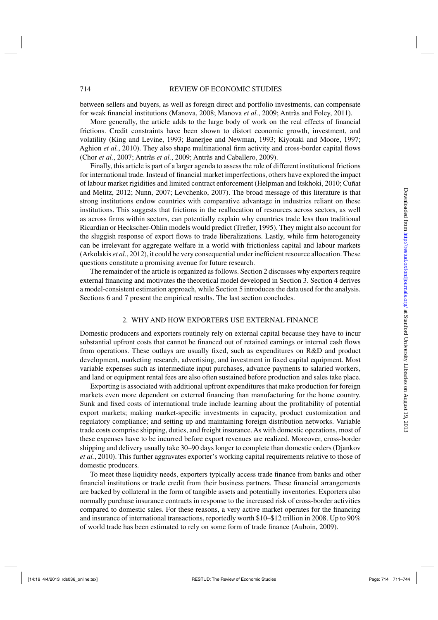between sellers and buyers, as well as foreign direct and portfolio investments, can compensate for weak financial institutions (Manova, 2008; Manova *et al.*, 2009; Antràs and Foley, 2011).

More generally, the article adds to the large body of work on the real effects of financial frictions. Credit constraints have been shown to distort economic growth, investment, and volatility (King and Levine, 1993; Banerjee and Newman, 1993; Kiyotaki and Moore, 1997; Aghion *et al.*, 2010). They also shape multinational firm activity and cross-border capital flows (Chor *et al.*, 2007; Antràs *et al.*, 2009; Antràs and Caballero, 2009).

Finally, this article is part of a larger agenda to assess the role of different institutional frictions for international trade. Instead of financial market imperfections, others have explored the impact of labour market rigidities and limited contract enforcement (Helpman and Itskhoki, 2010; Cuñat and Melitz, 2012; Nunn, 2007; Levchenko, 2007). The broad message of this literature is that strong institutions endow countries with comparative advantage in industries reliant on these institutions. This suggests that frictions in the reallocation of resources across sectors, as well as across firms within sectors, can potentially explain why countries trade less than traditional Ricardian or Heckscher-Ohlin models would predict (Trefler, 1995). They might also account for the sluggish response of export flows to trade liberalizations. Lastly, while firm heterogeneity can be irrelevant for aggregate welfare in a world with frictionless capital and labour markets (Arkolakis *et al.*, 2012), it could be very consequential under inefficient resource allocation. These questions constitute a promising avenue for future research.

The remainder of the article is organized as follows. Section 2 discusses why exporters require external financing and motivates the theoretical model developed in Section 3. Section 4 derives a model-consistent estimation approach, while Section 5 introduces the data used for the analysis. Sections 6 and 7 present the empirical results. The last section concludes.

# 2. WHY AND HOW EXPORTERS USE EXTERNAL FINANCE

Domestic producers and exporters routinely rely on external capital because they have to incur substantial upfront costs that cannot be financed out of retained earnings or internal cash flows from operations. These outlays are usually fixed, such as expenditures on R&D and product development, marketing research, advertising, and investment in fixed capital equipment. Most variable expenses such as intermediate input purchases, advance payments to salaried workers, and land or equipment rental fees are also often sustained before production and sales take place.

Exporting is associated with additional upfront expenditures that make production for foreign markets even more dependent on external financing than manufacturing for the home country. Sunk and fixed costs of international trade include learning about the profitability of potential export markets; making market-specific investments in capacity, product customization and regulatory compliance; and setting up and maintaining foreign distribution networks. Variable trade costs comprise shipping, duties, and freight insurance. As with domestic operations, most of these expenses have to be incurred before export revenues are realized. Moreover, cross-border shipping and delivery usually take 30–90 days longer to complete than domestic orders (Djankov *et al.*, 2010). This further aggravates exporter's working capital requirements relative to those of domestic producers.

To meet these liquidity needs, exporters typically access trade finance from banks and other financial institutions or trade credit from their business partners. These financial arrangements are backed by collateral in the form of tangible assets and potentially inventories. Exporters also normally purchase insurance contracts in response to the increased risk of cross-border activities compared to domestic sales. For these reasons, a very active market operates for the financing and insurance of international transactions, reportedly worth \$10–\$12 trillion in 2008. Up to 90% of world trade has been estimated to rely on some form of trade finance (Auboin, 2009).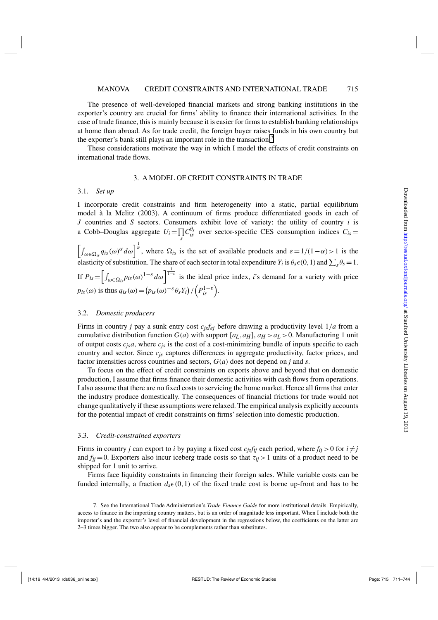The presence of well-developed financial markets and strong banking institutions in the exporter's country are crucial for firms' ability to finance their international activities. In the case of trade finance, this is mainly because it is easier for firms to establish banking relationships at home than abroad. As for trade credit, the foreign buyer raises funds in his own country but the exporter's bank still plays an important role in the transaction.<sup>7</sup>

These considerations motivate the way in which I model the effects of credit constraints on international trade flows.

## 3. A MODEL OF CREDIT CONSTRAINTS IN TRADE

#### 3.1. *Set up*

I incorporate credit constraints and firm heterogeneity into a static, partial equilibrium model à la Melitz (2003). A continuum of firms produce differentiated goods in each of *J* countries and *S* sectors. Consumers exhibit love of variety: the utility of country *i* is a Cobb–Douglas aggregate  $U_i = \prod_i$ *s*  $C_{is}^{\theta_s}$  over sector-specific CES consumption indices  $C_{is}$  =  $\left[\int_{\omega \in \Omega_{is}} q_{is}(\omega)^{\alpha} d\omega\right]^{\frac{1}{\alpha}}$ , where  $\Omega_{is}$  is the set of available products and  $\varepsilon = 1/(1-\alpha) > 1$  is the elasticity of substitution. The share of each sector in total expenditure  $Y_i$  is  $\theta_s \in (0,1)$  and  $\sum_s \theta_s = 1$ . If  $P_{is} = \left[\int_{\omega \in \Omega_{is}} p_{is}(\omega)^{1-\epsilon} d\omega\right]^{1-\epsilon}$  is the ideal price index, *i*'s demand for a variety with price  $p_{is}(\omega)$  is thus  $q_{is}(\omega) = (p_{is}(\omega)^{-\varepsilon} \theta_s Y_i) / (P_{is}^{1-\varepsilon})$ .

#### 3.2. *Domestic producers*

Firms in country *j* pay a sunk entry cost  $c_{jk}f_{ej}$  before drawing a productivity level  $1/a$  from a cumulative distribution function  $G(a)$  with support  $[a_L, a_H]$ ,  $a_H > a_L > 0$ . Manufacturing 1 unit of output costs  $c_{is}a$ , where  $c_{is}$  is the cost of a cost-minimizing bundle of inputs specific to each country and sector. Since *cjs* captures differences in aggregate productivity, factor prices, and factor intensities across countries and sectors, *G*(*a*) does not depend on *j* and *s*.

To focus on the effect of credit constraints on exports above and beyond that on domestic production, I assume that firms finance their domestic activities with cash flows from operations. I also assume that there are no fixed costs to servicing the home market. Hence all firms that enter the industry produce domestically. The consequences of financial frictions for trade would not change qualitatively if these assumptions were relaxed. The empirical analysis explicitly accounts for the potential impact of credit constraints on firms' selection into domestic production.

#### 3.3. *Credit-constrained exporters*

Firms in country *j* can export to *i* by paying a fixed cost  $c_{i}$ *sf<sub>ij</sub>* each period, where  $f_{ij}$  > 0 for  $i \neq j$ and  $f_{ij} = 0$ . Exporters also incur iceberg trade costs so that  $\tau_{ij} > 1$  units of a product need to be shipped for 1 unit to arrive.

Firms face liquidity constraints in financing their foreign sales. While variable costs can be funded internally, a fraction  $d_s \in (0,1)$  of the fixed trade cost is borne up-front and has to be

<sup>7.</sup> See the International Trade Administration's *Trade Finance Guide* for more institutional details. Empirically, access to finance in the importing country matters, but is an order of magnitude less important. When I include both the importer's and the exporter's level of financial development in the regressions below, the coefficients on the latter are 2–3 times bigger. The two also appear to be complements rather than substitutes.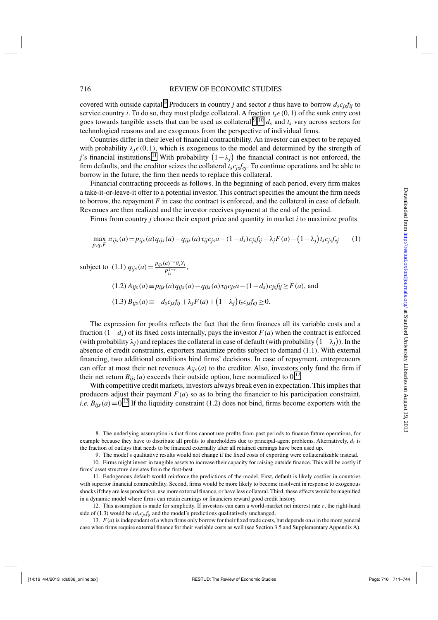## <span id="page-5-0"></span>716 REVIEW OF ECONOMIC STUDIES

covered with outside capital.<sup>8</sup> Producers in country *j* and sector *s* thus have to borrow  $d_s c_{is} f_{ij}$  to service country *i*. To do so, they must pledge collateral. A fraction  $t_s \in (0,1)$  of the sunk entry cost goes towards tangible assets that can be used as collateral.<sup>9,10</sup>  $d_s$  and  $t_s$  vary across sectors for technological reasons and are exogenous from the perspective of individual firms.

Countries differ in their level of financial contractibility. An investor can expect to be repayed with probability  $\lambda_i \epsilon(0,1)$ , which is exogenous to the model and determined by the strength of *j*'s financial institutions.<sup>11</sup> With probability  $(1 - \lambda_j)$  the financial contract is not enforced, the firm defaults, and the creditor seizes the collateral  $t_s c_j f_{ej}$ . To continue operations and be able to borrow in the future, the firm then needs to replace this collateral.

Financial contracting proceeds as follows. In the beginning of each period, every firm makes a take-it-or-leave-it offer to a potential investor. This contract specifies the amount the firm needs to borrow, the repayment  $F$  in case the contract is enforced, and the collateral in case of default. Revenues are then realized and the investor receives payment at the end of the period.

Firms from country *j* choose their export price and quantity in market *i* to maximize profits

$$
\max_{p,q,F} \pi_{ijs}(a) = p_{ijs}(a) q_{ijs}(a) - q_{ijs}(a) \tau_{ij} c_{js} a - (1 - d_s) c_{js} f_{ij} - \lambda_j F(a) - (1 - \lambda_j) t_s c_{js} f_{ej} \tag{1}
$$

subject to (1.1)  $q_{ijs}(a) = \frac{p_{ijs}(a)^{-\varepsilon} \theta_s Y_i}{P^{1-\varepsilon}}$  $\frac{\mu}{P_{is}^{1-\varepsilon}}$ ,

> $(1.2)$  *A*<sub>ijs</sub> $(a) \equiv p_{ijs}(a) q_{ijs}(a) - q_{ijs}(a) \tau_{ij} c_{js} a - (1 - d_s) c_{is} f_{ij} ≥ F(a)$ , and (1.3) *Bijs*(*a*)≡−*dscjsfij* <sup>+</sup>λ*jF*(*a*)+ 1−λ*<sup>j</sup> tscjsfej* ≥0.

The expression for profits reflects the fact that the firm finances all its variable costs and a fraction  $(1-d_s)$  of its fixed costs internally, pays the investor *F*(*a*) when the contract is enforced (with probability  $\lambda_j$ ) and replaces the collateral in case of default (with probability  $(1 - \lambda_j)$ ). In the absence of credit constraints, exporters maximize profits subject to demand (1.1). With external financing, two additional conditions bind firms' decisions. In case of repayment, entrepreneurs can offer at most their net revenues  $A_{ijs}(a)$  to the creditor. Also, investors only fund the firm if their net return  $B_{ijs}(a)$  exceeds their outside option, here normalized to  $0.12$ 

With competitive credit markets, investors always break even in expectation. This implies that producers adjust their payment  $F(a)$  so as to bring the financier to his participation constraint, *i.e. B<sub>ijs</sub>*(*a*)=0.<sup>13</sup> If the liquidity constraint (1.2) does not bind, firms become exporters with the

8. The underlying assumption is that firms cannot use profits from past periods to finance future operations, for example because they have to distribute all profits to shareholders due to principal-agent problems. Alternatively, *ds* is the fraction of outlays that needs to be financed externally after all retained earnings have been used up.

9. The model's qualitative results would not change if the fixed costs of exporting were collateralizable instead.

10. Firms might invest in tangible assets to increase their capacity for raising outside finance. This will be costly if firms' asset structure deviates from the first-best.

12. This assumption is made for simplicity. If investors can earn a world-market net interest rate *r*, the right-hand side of (1.3) would be  $rd_s c_{is}f_{ij}$  and the model's predictions qualitatively unchanged.

13.  $F(a)$  is independent of *a* when firms only borrow for their fixed trade costs, but depends on *a* in the more general case when firms require external finance for their variable costs as well (see Section 3.5 and Supplementary Appendix A).

<sup>11.</sup> Endogenous default would reinforce the predictions of the model. First, default is likely costlier in countries with superior financial contractibility. Second, firms would be more likely to become insolvent in response to exogenous shocks if they are less productive, use more external finance, or have less collateral. Third, these effects would be magnified in a dynamic model where firms can retain earnings or financiers reward good credit history.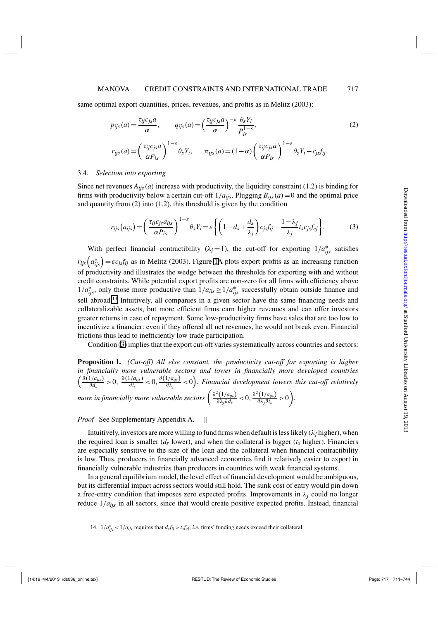same optimal export quantities, prices, revenues, and profits as in Melitz (2003):

$$
p_{ijs}(a) = \frac{\tau_{ij}c_{js}a}{\alpha}, \qquad q_{ijs}(a) = \left(\frac{\tau_{ij}c_{js}a}{\alpha}\right)^{-\varepsilon} \frac{\theta_s Y_i}{P_{is}^{1-\varepsilon}},
$$
  
\n
$$
r_{ijs}(a) = \left(\frac{\tau_{ij}c_{js}a}{\alpha P_{is}}\right)^{1-\varepsilon} \theta_s Y_i, \qquad \pi_{ijs}(a) = (1-\alpha)\left(\frac{\tau_{ij}c_{js}a}{\alpha P_{is}}\right)^{1-\varepsilon} \theta_s Y_i - c_{js}f_{ij}.
$$
\n(2)

#### 3.4. *Selection into exporting*

Since net revenues  $A_{ijs}(a)$  increase with productivity, the liquidity constraint (1.2) is binding for firms with productivity below a certain cut-off 1/*aijs*. Plugging *Bijs*(*a*)=0 and the optimal price and quantity from  $(2)$  into  $(1.2)$ , this threshold is given by the condition

$$
r_{ijs}(a_{ijs}) = \left(\frac{\tau_{ij}c_{js}a_{ijs}}{\alpha P_{is}}\right)^{1-\varepsilon} \theta_s Y_i = \varepsilon \left\{ \left(1 - d_s + \frac{d_s}{\lambda_j}\right) c_{js} f_{ij} - \frac{1-\lambda_j}{\lambda_j} t_s c_{js} f_{ej} \right\}.
$$
 (3)

With perfect financial contractibility ( $\lambda_j = 1$ ), the cut-off for exporting  $1/a_{ijs}^*$  satisfies  $r_{ijs}\left(a_{ijs}^{*}\right) = \varepsilon c_{jsf}$ *ig* as in Melitz (2003). Figure [1A](#page-7-0) plots export profits as an increasing function of productivity and illustrates the wedge between the thresholds for exporting with and without credit constraints. While potential export profits are non-zero for all firms with efficiency above  $1/a^{*}_{ijs}$ , only those more productive than  $1/a_{ijs} \ge 1/a^{*}_{ijs}$  successfully obtain outside finance and sell abroad.<sup>14</sup> Intuitively, all companies in a given sector have the same financing needs and collateralizable assets, but more efficient firms earn higher revenues and can offer investors greater returns in case of repayment. Some low-productivity firms have sales that are too low to incentivize a financier: even if they offered all net revenues, he would not break even. Financial frictions thus lead to inefficiently low trade participation.

Condition (3) implies that the export cut-off varies systematically across countries and sectors:

**Proposition 1.** *(Cut-off) All else constant, the productivity cut-off for exporting is higher in financially more vulnerable sectors and lower in financially more developed countries*  $\left(\frac{\partial (1/a_{ijs})}{\partial d_s} > 0, \frac{\partial (1/a_{ijs})}{\partial t_s} < 0, \frac{\partial (1/a_{ijs})}{\partial \lambda_j}\right)$  $\frac{1/a_{ijs}}{a_{\lambda_j}}$  < 0). Financial development lowers this cut-off relatively *more in financially more vulnerable sectors*  $\left(\frac{\partial^2 (1/a_{ijs})}{\partial \lambda_j \partial d_s} < 0, \frac{\partial^2 (1/a_{ijs})}{\partial \lambda_j \partial t_s} > 0\right)$  $\setminus$ *.*

*Proof* See Supplementary Appendix A.

Intuitively, investors are more willing to fund firms when default is less likely  $(\lambda_j)$  higher), when the required loan is smaller  $(d_s$  lower), and when the collateral is bigger  $(t_s$  higher). Financiers are especially sensitive to the size of the loan and the collateral when financial contractibility is low. Thus, producers in financially advanced economies find it relatively easier to export in financially vulnerable industries than producers in countries with weak financial systems.

In a general equilibrium model, the level effect of financial development would be ambiguous, but its differential impact across sectors would still hold. The sunk cost of entry would pin down a free-entry condition that imposes zero expected profits. Improvements in  $\lambda_i$  could no longer reduce 1/*aijs* in all sectors, since that would create positive expected profits. Instead, financial

```
14. 1/a^{*}_{ijs} < 1/a_{ijs} requires that d_s f_{ij} > t_s f_{ej}, i.e. firms' funding needs exceed their collateral.
```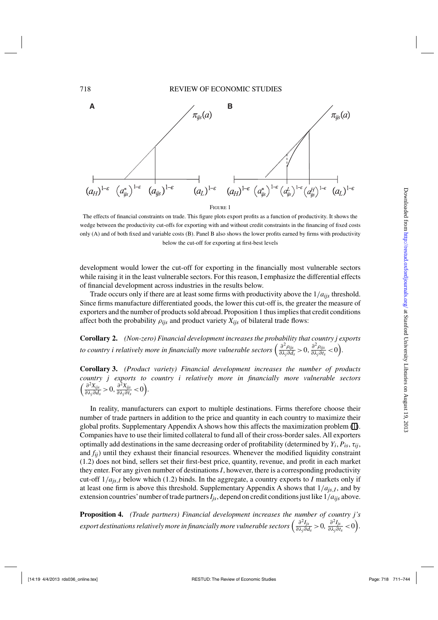<span id="page-7-0"></span>

The effects of financial constraints on trade. This figure plots export profits as a function of productivity. It shows the wedge between the productivity cut-offs for exporting with and without credit constraints in the financing of fixed costs only (A) and of both fixed and variable costs (B). Panel B also shows the lower profits earned by firms with productivity below the cut-off for exporting at first-best levels

development would lower the cut-off for exporting in the financially most vulnerable sectors while raising it in the least vulnerable sectors. For this reason, I emphasize the differential effects of financial development across industries in the results below.

Trade occurs only if there are at least some firms with productivity above the 1/*aijs* threshold. Since firms manufacture differentiated goods, the lower this cut-off is, the greater the measure of exporters and the number of products sold abroad. Proposition 1 thus implies that credit conditions affect both the probability  $\rho_{ijs}$  and product variety  $X_{ijs}$  of bilateral trade flows:

**Corollary 2.** *(Non-zero) Financial development increases the probability that country j exports to country i relatively more in financially more vulnerable sectors*  $\left(\frac{\partial^2 \rho_{ijs}}{\partial \lambda_j \partial d_s} > 0, \frac{\partial^2 \rho_{ijs}}{\partial \lambda_j \partial t_s} < 0\right)$ *.* 

**Corollary 3.** *(Product variety) Financial development increases the number of products country j exports to country i relatively more in financially more vulnerable sectors*  $\left(\frac{\partial^2 X_{ijs}}{\partial \lambda_j \partial d_s} > 0, \frac{\partial^2 X_{ijs}}{\partial \lambda_j \partial t_s} < 0\right).$ 

In reality, manufacturers can export to multiple destinations. Firms therefore choose their number of trade partners in addition to the price and quantity in each country to maximize their global profits. Supplementary Appendix A shows how this affects the maximization problem [\(1\)](#page-5-0). Companies have to use their limited collateral to fund all of their cross-border sales. All exporters optimally add destinations in the same decreasing order of profitability (determined by  $Y_i$ ,  $P_{is}$ ,  $\tau_{ij}$ , and *fij*) until they exhaust their financial resources. Whenever the modified liquidity constraint (1.2) does not bind, sellers set their first-best price, quantity, revenue, and profit in each market they enter. For any given number of destinations*I*, however, there is a corresponding productivity cut-off  $1/a_{is,I}$  below which (1.2) binds. In the aggregate, a country exports to *I* markets only if at least one firm is above this threshold. Supplementary Appendix A shows that 1/*ajs*,*I*, and by extension countries'number of trade partners*Ijs*, depend on credit conditions just like 1/*aijs* above.

**Proposition 4.** *(Trade partners) Financial development increases the number of country j's*  $e$ xport destinations relatively more in financially more vulnerable sectors  $\left(\frac{\partial^2 I_{js}}{\partial \lambda_j \partial d_s} > 0, \frac{\partial^2 I_{js}}{\partial \lambda_j \partial t_s} < 0\right)$ .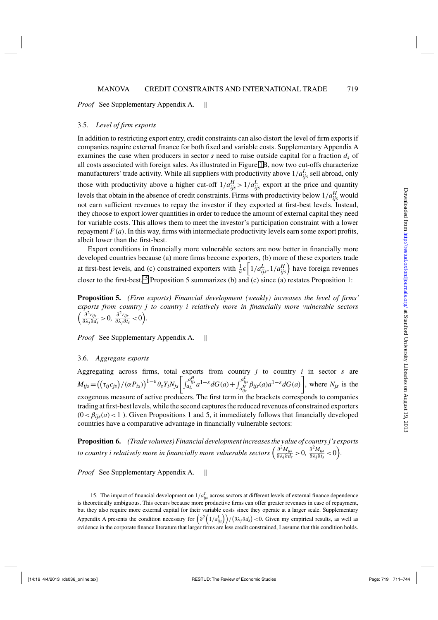<span id="page-8-0"></span>*Proof* See Supplementary Appendix A.

#### 3.5. *Level of firm exports*

In addition to restricting export entry, credit constraints can also distort the level of firm exports if companies require external finance for both fixed and variable costs. Supplementary Appendix A examines the case when producers in sector  $s$  need to raise outside capital for a fraction  $d_s$  of all costs associated with foreign sales. As illustrated in Figure [1B](#page-7-0), now two cut-offs characterize manufacturers' trade activity. While all suppliers with productivity above  $1/a_{ijs}^L$  sell abroad, only those with productivity above a higher cut-off  $1/a_{ijs}^H > 1/a_{ijs}^L$  export at the price and quantity levels that obtain in the absence of credit constraints. Firms with productivity below  $1/a^H_{ijs}$  would not earn sufficient revenues to repay the investor if they exported at first-best levels. Instead, they choose to export lower quantities in order to reduce the amount of external capital they need for variable costs. This allows them to meet the investor's participation constraint with a lower repayment  $F(a)$ . In this way, firms with intermediate productivity levels earn some export profits, albeit lower than the first-best.

Export conditions in financially more vulnerable sectors are now better in financially more developed countries because (a) more firms become exporters, (b) more of these exporters trade at first-best levels, and (c) constrained exporters with  $\frac{1}{a} \epsilon \left[1/a_{ijs}^L, 1/a_{ijs}^H\right]$  have foreign revenues closer to the first-best.<sup>15</sup> Proposition 5 summarizes (b) and (c) since (a) restates Proposition 1:

**Proposition 5.** *(Firm exports) Financial development (weakly) increases the level of firms' exports from country j to country i relatively more in financially more vulnerable sectors*  $\left(\frac{\partial^2 r_{ijs}}{\partial \lambda_j \partial d_s} > 0, \frac{\partial^2 r_{ijs}}{\partial \lambda_j \partial t_s} < 0\right).$ 

*Proof* See Supplementary Appendix A. ||

# 3.6. *Aggregate exports*

Aggregating across firms, total exports from country *j* to country *i* in sector *s* are  $M_{ijs} = ((\tau_{ij}c_{js})/(\alpha P_{is}))^{1-\varepsilon} \theta_s Y_i N_{js} \left[ \int_{a_L}^{\tilde{a}_{ijs}^H} a^{1-\varepsilon} dG(a) + \int_{a_{ijs}^H}^{a_{ijs}^L} \tilde{\beta}_{ijs}(a) a^{1-\varepsilon} dG(a) \right]$ , where *Njs* is the exogenous measure of active producers. The first term in the brackets corresponds to companies trading at first-best levels, while the second captures the reduced revenues of constrained exporters  $(0 < \beta_{ijs}(a) < 1)$ . Given Propositions 1 and 5, it immediately follows that financially developed countries have a comparative advantage in financially vulnerable sectors:

**Proposition 6.** *(Trade volumes) Financial development increases the value of country j's exports to country i relatively more in financially more vulnerable sectors*  $\left(\frac{\partial^2 M_{ijs}}{\partial \lambda_j \partial d_s} > 0, \frac{\partial^2 M_{ijs}}{\partial \lambda_j \partial t_s} < 0\right)$ *.* 

*Proof* See Supplementary Appendix A.

15. The impact of financial development on  $1/a_{ijs}^L$  across sectors at different levels of external finance dependence is theoretically ambiguous. This occurs because more productive firms can offer greater revenues in case of repayment, but they also require more external capital for their variable costs since they operate at a larger scale. Supplementary Appendix A presents the condition necessary for  $\left(\frac{\partial^2}{1/a_{ijs}^L}\right) / (\partial \lambda_j \partial d_s) < 0$ . Given my empirical results, as well as evidence in the corporate finance literature that larger firms are less credit constrained, I assume that this condition holds.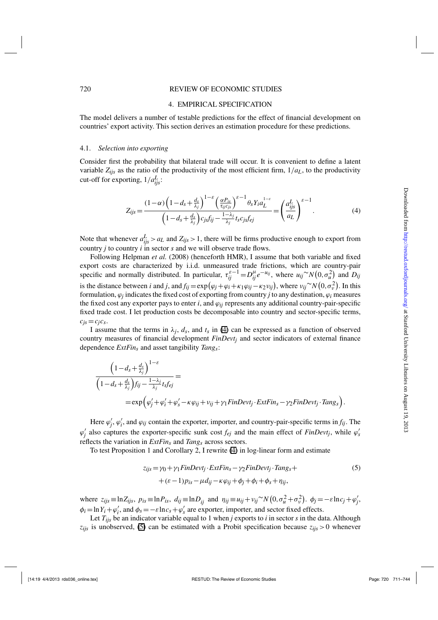#### <span id="page-9-0"></span>720 REVIEW OF ECONOMIC STUDIES

#### 4. EMPIRICAL SPECIFICATION

The model delivers a number of testable predictions for the effect of financial development on countries' export activity. This section derives an estimation procedure for these predictions.

#### 4.1. *Selection into exporting*

Consider first the probability that bilateral trade will occur. It is convenient to define a latent variable  $Z_{ijs}$  as the ratio of the productivity of the most efficient firm,  $1/a<sub>L</sub>$ , to the productivity cut-off for exporting, 1/*a<sup>L</sup> ijs*:

$$
Z_{ijs} = \frac{(1-\alpha)\left(1-d_s + \frac{d_s}{\lambda_j}\right)^{1-\epsilon}\left(\frac{\alpha P_{is}}{\tau_{ij}c_{js}}\right)^{\epsilon-1}\theta_s Y_i a_L^{1-\epsilon}}{\left(1-d_s + \frac{d_s}{\lambda_j}\right)c_{js}f_{ij} - \frac{1-\lambda_j}{\lambda_j}t_s c_{js}f_{ej}} = \left(\frac{a_{ijs}^L}{a_L}\right)^{\epsilon-1}.
$$
 (4)

Note that whenever  $a_{ijs}^L > a_L$  and  $Z_{ijs} > 1$ , there will be firms productive enough to export from country *j* to country *i* in sector *s* and we will observe trade flows.

Following Helpman *et al.* (2008) (henceforth HMR), I assume that both variable and fixed export costs are characterized by i.i.d. unmeasured trade frictions, which are country-pair specific and normally distributed. In particular,  $\tau_{ij}^{k-1} = D_{ij}^{\mu} e^{-u_{ij}}$ , where  $u_{ij}^{\sim}N(0, \sigma_u^2)$  and  $D_{ij}$ is the distance between *i* and *j*, and  $f_{ij} = \exp(\varphi_j + \varphi_i + \kappa_1 \varphi_{ij} - \kappa_2 v_{ij})$ , where  $v_{ij} \sim N(0, \sigma_v^2)$ . In this formulation,  $\varphi_i$  indicates the fixed cost of exporting from country *j* to any destination,  $\varphi_i$  measures the fixed cost any exporter pays to enter  $i$ , and  $\varphi_{ij}$  represents any additional country-pair-specific fixed trade cost. I let production costs be decomposable into country and sector-specific terms,  $c_{is} = c_i c_s$ .

I assume that the terms in  $\lambda_i$ ,  $d_s$ , and  $t_s$  in (4) can be expressed as a function of observed country measures of financial development *FinDevtj* and sector indicators of external finance dependence *ExtFins* and asset tangibility *Tangs*:

$$
\frac{\left(1-d_s+\frac{d_s}{\lambda_j}\right)^{1-\epsilon}}{\left(1-d_s+\frac{d_s}{\lambda_j}\right)f_{ij}-\frac{1-\lambda_j}{\lambda_j}t_s f_{ej}} =\n= \exp\left(\varphi'_j+\varphi'_i+\varphi'_s-\kappa\varphi_{ij}+\nu_{ij}+\gamma_1\text{FinDevt}_j\cdot\text{ExtFin}_s-\gamma_2\text{FinDevt}_j\cdot\text{Tang}_s\right).
$$

Here  $\varphi'_j$ ,  $\varphi'_i$ , and  $\varphi_{ij}$  contain the exporter, importer, and country-pair-specific terms in  $f_{ij}$ . The  $\varphi'_j$  also captures the exporter-specific sunk cost  $f_{ej}$  and the main effect of *FinDevt<sub>j</sub>*, while  $\varphi'_s$ reflects the variation in *ExtFins* and *Tangs* across sectors.

To test Proposition 1 and Corollary 2, I rewrite (4) in log-linear form and estimate

$$
z_{ijs} = \gamma_0 + \gamma_1 \text{FinDev}_{tj} \cdot \text{ExtFin}_s - \gamma_2 \text{FinDev}_{tj} \cdot \text{Tan} g_s +
$$
  
+ (\varepsilon - 1) p\_{is} - \mu d\_{ij} - \kappa \varphi\_{ij} + \phi\_j + \phi\_i + \phi\_s + \eta\_{ij}, \qquad (5)

where  $z_{ijs} \equiv \ln Z_{ijs}$ ,  $p_{is} \equiv \ln P_{is}$ ,  $d_{ij} \equiv \ln D_{ij}$  and  $\eta_{ij} \equiv u_{ij} + v_{ij} \sim N(0, \sigma_u^2 + \sigma_v^2)$ .  $\phi_j = -\varepsilon \ln c_j + \varphi'_j$ ,  $\phi_i = \ln Y_i + \phi'_i$ , and  $\phi_s = -\varepsilon \ln c_s + \phi'_s$  are exporter, importer, and sector fixed effects.

Let *Tijs* be an indicator variable equal to 1 when *j* exports to *i* in sector *s* in the data. Although  $z_{ijs}$  is unobserved, (5) can be estimated with a Probit specification because  $z_{ijs} > 0$  whenever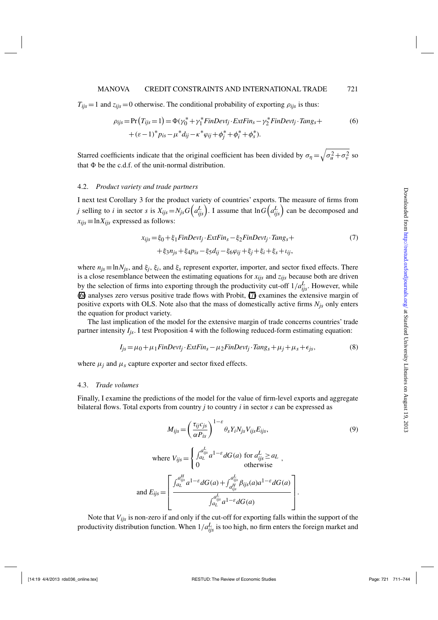<span id="page-10-0"></span> $T_{ijs} = 1$  and  $z_{ijs} = 0$  otherwise. The conditional probability of exporting  $\rho_{ijs}$  is thus:

$$
\rho_{ijs} = \Pr(T_{ijs} = 1) = \Phi(\gamma_0^* + \gamma_1^* \text{FinDevt}_j \cdot \text{ExtFin}_s - \gamma_2^* \text{FinDevt}_j \cdot \text{Lang}_s +
$$
  
 
$$
+ (\varepsilon - 1)^* p_{is} - \mu^* d_{ij} - \kappa^* \varphi_{ij} + \phi_j^* + \phi_i^* + \phi_s^*).
$$
 (6)

Starred coefficients indicate that the original coefficient has been divided by  $\sigma_{\eta} = \sqrt{\sigma_{\mu}^2 + \sigma_{\nu}^2}$  so that  $\Phi$  be the c.d.f. of the unit-normal distribution.

#### 4.2. *Product variety and trade partners*

I next test Corollary 3 for the product variety of countries' exports. The measure of firms from *j* selling to *i* in sector *s* is  $X_{ijs} = N_{js}G(a_{ijs}^L)$ . I assume that  $\ln G(a_{ijs}^L)$  can be decomposed and  $x_{ijs} \equiv \ln X_{ijs}$  expressed as follows:

$$
x_{ijs} = \xi_0 + \xi_1 FinDevt_j \cdot ExtFin_s - \xi_2 FinDevt_j \cdot Tang_s ++ \xi_3 n_{js} + \xi_4 p_{is} - \xi_5 d_{ij} - \xi_6 \varphi_{ij} + \xi_j + \xi_i + \xi_s + \iota_{ij},
$$
\n(7)

where  $n_{iS} \equiv \ln N_{is}$ , and  $\xi_i$ ,  $\xi_i$ , and  $\xi_S$  represent exporter, importer, and sector fixed effects. There is a close resemblance between the estimating equations for *xijs* and *zijs* because both are driven by the selection of firms into exporting through the productivity cut-off  $1/a_{ijs}^L$ . However, while (6) analyses zero versus positive trade flows with Probit, (7) examines the extensive margin of positive exports with OLS. Note also that the mass of domestically active firms *Njs* only enters the equation for product variety.

The last implication of the model for the extensive margin of trade concerns countries' trade partner intensity *Ijs*. I test Proposition 4 with the following reduced-form estimating equation:

$$
I_{js} = \mu_0 + \mu_1 FinDevt_j \cdot ExtFin_s - \mu_2 FinDevt_j \cdot Tang_s + \mu_j + \mu_s + \epsilon_{js},
$$
\n(8)

where  $\mu_j$  and  $\mu_s$  capture exporter and sector fixed effects.

and

#### 4.3. *Trade volumes*

Finally, I examine the predictions of the model for the value of firm-level exports and aggregate bilateral flows. Total exports from country *j* to country *i* in sector *s* can be expressed as

$$
M_{ijs} = \left(\frac{\tau_{ij}c_{js}}{\alpha P_{is}}\right)^{1-\varepsilon} \theta_s Y_i N_{js} V_{ijs} E_{ijs},
$$
\nwhere  $V_{ijs} = \begin{cases} \int_{a_L}^{a_{ijs}^L} a^{1-\varepsilon} dG(a) & \text{for } a_{ijs}^L \ge a_L \\ 0 & \text{otherwise} \end{cases}$ ,  
\n
$$
1 E_{ijs} = \begin{bmatrix} \int_{a_L}^{a_{ijs}^H} a^{1-\varepsilon} dG(a) + \int_{a_{ijs}^H}^{a_{ijs}^L} \beta_{ijs}(a) a^{1-\varepsilon} dG(a) \\ \frac{\int_{a_L}^{a_{ijs}^L} a^{1-\varepsilon} dG(a)}{\int_{a_L}^{a_{ijs}^L} a^{1-\varepsilon} dG(a)} \end{bmatrix}.
$$
\n(9)

Note that *Vijs* is non-zero if and only if the cut-off for exporting falls within the support of the productivity distribution function. When  $1/a_{ijs}^L$  is too high, no firm enters the foreign market and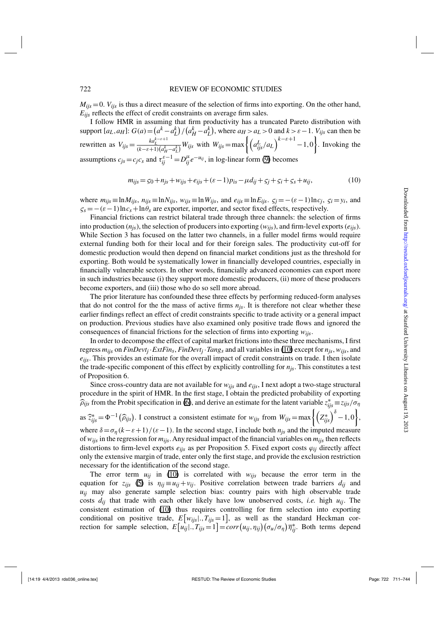<span id="page-11-0"></span> $M_{ijs} = 0$ .  $V_{ijs}$  is thus a direct measure of the selection of firms into exporting. On the other hand, *Eijs* reflects the effect of credit constraints on average firm sales.

I follow HMR in assuming that firm productivity has a truncated Pareto distribution with support  $[a_L, a_H]$ :  $G(a) = (a^k - a_L^k) / (a_H^k - a_L^k)$ , where  $a_H > a_L > 0$  and  $k > \varepsilon - 1$ .  $V_{ijs}$  can then be rewritten as  $V_{ijs} = \frac{k a_L^{k-\epsilon+1}}{(k-\epsilon+1)(a_H^k - a_L^k)} W_{ijs}$  with  $W_{ijs} = \max \left\{ \left( a_{ijs}^L / a_L \right)^{k-\epsilon+1} - 1, 0 \right\}$  $\mathbf{I}$ . Invoking the assumptions  $c_{js} = c_j c_s$  and  $\tau_{ij}^{\varepsilon-1} = D_{ij}^{\mu} e^{-u_{ij}}$ , in log-linear form [\(9\)](#page-10-0) becomes

$$
m_{ijs} = s_0 + n_{js} + w_{ijs} + e_{ijs} + (\varepsilon - 1)p_{is} - \mu d_{ij} + s_j + s_k + s_s + u_{ij},
$$
\n(10)

where  $m_{ijs} \equiv \ln M_{ijs}$ ,  $n_{ijs} \equiv \ln N_{ijs}$ ,  $w_{ijs} \equiv \ln W_{ijs}$ , and  $e_{ijs} \equiv \ln E_{ijs}$ .  $\varsigma_i = −(\epsilon - 1)\ln c_j$ ,  $\varsigma_i = y_i$ , and  $\zeta_s = -(e-1)\ln c_s + \ln \theta_s$  are exporter, importer, and sector fixed effects, respectively.

Financial frictions can restrict bilateral trade through three channels: the selection of firms into production (*njs*), the selection of producers into exporting (*wijs*), and firm-level exports (*eijs*). While Section 3 has focused on the latter two channels, in a fuller model firms would require external funding both for their local and for their foreign sales. The productivity cut-off for domestic production would then depend on financial market conditions just as the threshold for exporting. Both would be systematically lower in financially developed countries, especially in financially vulnerable sectors. In other words, financially advanced economies can export more in such industries because (i) they support more domestic producers, (ii) more of these producers become exporters, and (iii) those who do so sell more abroad.

The prior literature has confounded these three effects by performing reduced-form analyses that do not control for the the mass of active firms  $n_{is}$ . It is therefore not clear whether these earlier findings reflect an effect of credit constraints specific to trade activity or a general impact on production. Previous studies have also examined only positive trade flows and ignored the consequences of financial frictions for the selection of firms into exporting *wijs*.

In order to decompose the effect of capital market frictions into these three mechanisms, I first regress *mijs* on *FinDevtj* ·*ExtFins*, *FinDevtj* ·*Tangs* and all variables in (10) except for *njs*, *wijs*, and *eijs*. This provides an estimate for the overall impact of credit constraints on trade. I then isolate the trade-specific component of this effect by explicitly controlling for *njs*. This constitutes a test of Proposition 6.

Since cross-country data are not available for *wijs* and *eijs*, I next adopt a two-stage structural procedure in the spirit of HMR. In the first stage, I obtain the predicted probability of exporting  $\hat{\rho}_{ijs}$  from the Probit specification in [\(6\)](#page-10-0), and derive an estimate for the latent variable  $z_{ijs}^* \equiv z_{ijs}/\sigma_{ijs}$ as  $\hat{z}_{ijs}^* = \Phi^{-1}(\hat{\rho}_{ijs})$ . I construct a consistent estimate for  $w_{ijs}$  from  $W_{ijs} = \max \left\{ \left( Z_{ijs}^* \right)^\delta - 1, 0 \right\}$  $\mathbf{I}$ , where  $\delta = \sigma_{\eta} (k - \varepsilon + 1) / (\varepsilon - 1)$ . In the second stage, I include both  $n_{js}$  and the imputed measure of *wijs* in the regression for *mijs*. Any residual impact of the financial variables on *mijs* then reflects distortions to firm-level exports  $e_{ijs}$  as per Proposition 5. Fixed export costs  $\varphi_{ij}$  directly affect only the extensive margin of trade, enter only the first stage, and provide the exclusion restriction necessary for the identification of the second stage.

The error term  $u_{ij}$  in (10) is correlated with  $w_{ijs}$  because the error term in the equation for  $z_{ijs}$  [\(5\)](#page-9-0) is  $\eta_{ij} \equiv u_{ij} + v_{ij}$ . Positive correlation between trade barriers  $d_{ij}$  and  $u_{ij}$  may also generate sample selection bias: country pairs with high observable trade costs *dij* that trade with each other likely have low unobserved costs, *i.e.* high *uij*. The consistent estimation of (10) thus requires controlling for firm selection into exporting conditional on positive trade,  $E[w_{ijs}]$ ,  $T_{ijs} = 1$ , as well as the standard Heckman correction for sample selection,  $E[u_{ij}]$ ,  $T_{ijs} = 1$  =  $corr(u_{ij}, \eta_{ij})(\sigma_u/\sigma_\eta)\overline{\eta}_{ij}^*$ . Both terms depend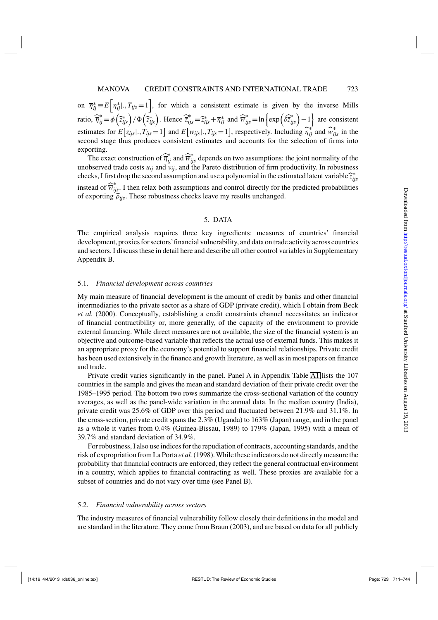on  $\overline{\eta}_{ij}^* = E\left[\eta_{ij}^*|., T_{ijs} = 1\right]$ , for which a consistent estimate is given by the inverse Mills ratio,  $\hat{\vec{\eta}}_{ij}^* = \phi\left(\hat{z}_{ijs}^*\right) / \Phi\left(\hat{z}_{ijs}^*\right)$ . Hence  $\hat{\vec{z}}_{ijs}^* = \hat{z}_{ijs}^* + \overline{\eta}_{ij}^*$  and  $\hat{\vec{w}}_{ijs}^* = \ln\left\{\exp\left(\hat{\delta}\hat{\vec{z}}_{ijs}^*\right) - 1\right\}$  are consistent estimates for  $E[z_{ijs}]$ .,  $T_{ijs} = 1$  and  $E[w_{ijs}]$ .,  $T_{ijs} = 1$ , respectively. Including  $\hat{\vec{\eta}}_{ijs}^*$  and  $\hat{\vec{w}}_{ijs}^*$  in the second stage thus produces consistent estimates and accounts for the selection of firms into exporting.

The exact construction of  $\hat{\overline{n}}_{ij}^*$  and  $\hat{\overline{w}}_{ijs}^*$  depends on two assumptions: the joint normality of the unobserved trade costs  $u_{ij}$  and  $v_{ij}$ , and the Pareto distribution of firm productivity. In robustness checks, I first drop the second assumption and use a polynomial in the estimated latent variable  $\widehat{z}^*_{ijs}$ instead of  $\widehat{w}_{ijs}^*$ . I then relax both assumptions and control directly for the predicted probabilities of exporting  $\widehat{\rho}_{ijs}$ . These robustness checks leave my results unchanged.

# 5. DATA

The empirical analysis requires three key ingredients: measures of countries' financial development, proxies for sectors'financial vulnerability, and data on trade activity across countries and sectors. I discuss these in detail here and describe all other control variables in Supplementary Appendix B.

#### 5.1. *Financial development across countries*

My main measure of financial development is the amount of credit by banks and other financial intermediaries to the private sector as a share of GDP (private credit), which I obtain from Beck *et al.* (2000). Conceptually, establishing a credit constraints channel necessitates an indicator of financial contractibility or, more generally, of the capacity of the environment to provide external financing. While direct measures are not available, the size of the financial system is an objective and outcome-based variable that reflects the actual use of external funds. This makes it an appropriate proxy for the economy's potential to support financial relationships. Private credit has been used extensively in the finance and growth literature, as well as in most papers on finance and trade.

Private credit varies significantly in the panel. Panel A in Appendix Table [A1](#page-16-0) lists the 107 countries in the sample and gives the mean and standard deviation of their private credit over the 1985–1995 period. The bottom two rows summarize the cross-sectional variation of the country averages, as well as the panel-wide variation in the annual data. In the median country (India), private credit was 25.6% of GDP over this period and fluctuated between 21.9% and 31.1%. In the cross-section, private credit spans the 2.3% (Uganda) to 163% (Japan) range, and in the panel as a whole it varies from 0.4% (Guinea-Bissau, 1989) to 179% (Japan, 1995) with a mean of 39.7% and standard deviation of 34.9%.

For robustness, I also use indices for the repudiation of contracts, accounting standards, and the risk of expropriation from La Porta *et al.*(1998). While these indicators do not directly measure the probability that financial contracts are enforced, they reflect the general contractual environment in a country, which applies to financial contracting as well. These proxies are available for a subset of countries and do not vary over time (see Panel B).

# 5.2. *Financial vulnerability across sectors*

The industry measures of financial vulnerability follow closely their definitions in the model and are standard in the literature. They come from Braun (2003), and are based on data for all publicly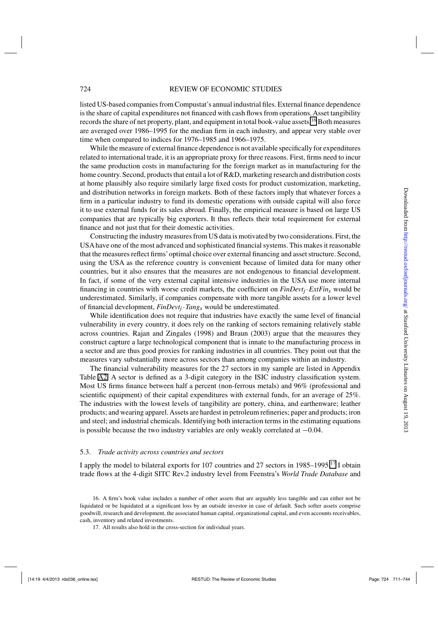listed US-based companies from Compustat's annual industrial files. External finance dependence is the share of capital expenditures not financed with cash flows from operations. Asset tangibility records the share of net property, plant, and equipment in total book-value assets.<sup>16</sup> Both measures are averaged over 1986–1995 for the median firm in each industry, and appear very stable over time when compared to indices for 1976–1985 and 1966–1975.

While the measure of external finance dependence is not available specifically for expenditures related to international trade, it is an appropriate proxy for three reasons. First, firms need to incur the same production costs in manufacturing for the foreign market as in manufacturing for the home country. Second, products that entail a lot of R&D, marketing research and distribution costs at home plausibly also require similarly large fixed costs for product customization, marketing, and distribution networks in foreign markets. Both of these factors imply that whatever forces a firm in a particular industry to fund its domestic operations with outside capital will also force it to use external funds for its sales abroad. Finally, the empirical measure is based on large US companies that are typically big exporters. It thus reflects their total requirement for external finance and not just that for their domestic activities.

Constructing the industry measures from US data is motivated by two considerations. First, the USA have one of the most advanced and sophisticated financial systems. This makes it reasonable that the measures reflect firms'optimal choice over external financing and asset structure. Second, using the USA as the reference country is convenient because of limited data for many other countries, but it also ensures that the measures are not endogenous to financial development. In fact, if some of the very external capital intensive industries in the USA use more internal financing in countries with worse credit markets, the coefficient on *FinDevtj* ·*ExtFins* would be underestimated. Similarly, if companies compensate with more tangible assets for a lower level of financial development, *FinDevtj* ·*Tangs* would be underestimated.

While identification does not require that industries have exactly the same level of financial vulnerability in every country, it does rely on the ranking of sectors remaining relatively stable across countries. Rajan and Zingales (1998) and Braun (2003) argue that the measures they construct capture a large technological component that is innate to the manufacturing process in a sector and are thus good proxies for ranking industries in all countries. They point out that the measures vary substantially more across sectors than among companies within an industry.

The financial vulnerability measures for the 27 sectors in my sample are listed in Appendix Table [A2.](#page-19-0) A sector is defined as a 3-digit category in the ISIC industry classification system. Most US firms finance between half a percent (non-ferrous metals) and 96% (professional and scientific equipment) of their capital expenditures with external funds, for an average of 25%. The industries with the lowest levels of tangibility are pottery, china, and earthenware; leather products; and wearing apparel.Assets are hardest in petroleum refineries; paper and products; iron and steel; and industrial chemicals. Identifying both interaction terms in the estimating equations is possible because the two industry variables are only weakly correlated at −0.04.

## 5.3. *Trade activity across countries and sectors*

I apply the model to bilateral exports for 107 countries and 27 sectors in 1985–1995.<sup>17</sup> I obtain trade flows at the 4-digit SITC Rev.2 industry level from Feenstra's *World Trade Database* and

<sup>16.</sup> A firm's book value includes a number of other assets that are arguably less tangible and can either not be liquidated or be liquidated at a significant loss by an outside investor in case of default. Such softer assets comprise goodwill, research and development, the associated human capital, organizational capital, and even accounts receivables, cash, inventory and related investments.

<sup>17.</sup> All results also hold in the cross-section for individual years.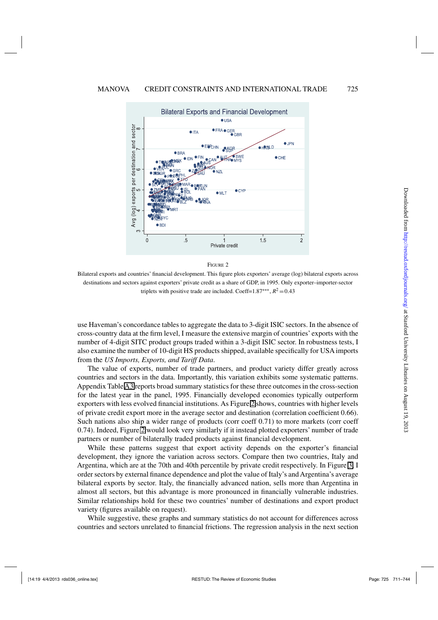



Figure 2 Bilateral exports and countries' financial development. This figure plots exporters' average (log) bilateral exports across destinations and sectors against exporters' private credit as a share of GDP, in 1995. Only exporter–importer-sector triplets with positive trade are included. Coeff=1.87<sup>\*\*\*</sup>,  $R^2$  = 0.43

use Haveman's concordance tables to aggregate the data to 3-digit ISIC sectors. In the absence of cross-country data at the firm level, I measure the extensive margin of countries' exports with the number of 4-digit SITC product groups traded within a 3-digit ISIC sector. In robustness tests, I also examine the number of 10-digit HS products shipped, available specifically for USA imports from the *US Imports, Exports, and Tariff Data*.

The value of exports, number of trade partners, and product variety differ greatly across countries and sectors in the data. Importantly, this variation exhibits some systematic patterns. Appendix Table [A3](#page-21-0) reports broad summary statistics for these three outcomes in the cross-section for the latest year in the panel, 1995. Financially developed economies typically outperform exporters with less evolved financial institutions. As Figure 2 shows, countries with higher levels of private credit export more in the average sector and destination (correlation coefficient 0.66). Such nations also ship a wider range of products (corr coeff 0.71) to more markets (corr coeff 0.74). Indeed, Figure 2 would look very similarly if it instead plotted exporters' number of trade partners or number of bilaterally traded products against financial development.

While these patterns suggest that export activity depends on the exporter's financial development, they ignore the variation across sectors. Compare then two countries, Italy and Argentina, which are at the 70th and 40th percentile by private credit respectively. In Figure [3,](#page-15-0) I order sectors by external finance dependence and plot the value of Italy's and Argentina's average bilateral exports by sector. Italy, the financially advanced nation, sells more than Argentina in almost all sectors, but this advantage is more pronounced in financially vulnerable industries. Similar relationships hold for these two countries' number of destinations and export product variety (figures available on request).

While suggestive, these graphs and summary statistics do not account for differences across countries and sectors unrelated to financial frictions. The regression analysis in the next section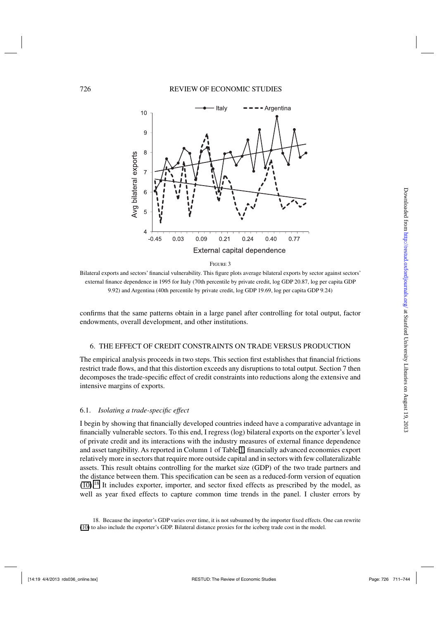<span id="page-15-0"></span>

FIGURE 3

Bilateral exports and sectors' financial vulnerability. This figure plots average bilateral exports by sector against sectors' external finance dependence in 1995 for Italy (70th percentile by private credit, log GDP 20.87, log per capita GDP 9.92) and Argentina (40th percentile by private credit, log GDP 19.69, log per capita GDP 9.24)

confirms that the same patterns obtain in a large panel after controlling for total output, factor endowments, overall development, and other institutions.

# 6. THE EFFECT OF CREDIT CONSTRAINTS ON TRADE VERSUS PRODUCTION

The empirical analysis proceeds in two steps. This section first establishes that financial frictions restrict trade flows, and that this distortion exceeds any disruptions to total output. Section 7 then decomposes the trade-specific effect of credit constraints into reductions along the extensive and intensive margins of exports.

# 6.1. *Isolating a trade-specific effect*

I begin by showing that financially developed countries indeed have a comparative advantage in financially vulnerable sectors. To this end, I regress (log) bilateral exports on the exporter's level of private credit and its interactions with the industry measures of external finance dependence and asset tangibility. As reported in Column 1 of Table [1,](#page-16-0) financially advanced economies export relatively more in sectors that require more outside capital and in sectors with few collateralizable assets. This result obtains controlling for the market size (GDP) of the two trade partners and the distance between them. This specification can be seen as a reduced-form version of equation  $(10).<sup>18</sup>$  $(10).<sup>18</sup>$  It includes exporter, importer, and sector fixed effects as prescribed by the model, as well as year fixed effects to capture common time trends in the panel. I cluster errors by

<sup>18.</sup> Because the importer's GDP varies over time, it is not subsumed by the importer fixed effects. One can rewrite [\(10\)](#page-11-0) to also include the exporter's GDP. Bilateral distance proxies for the iceberg trade cost in the model.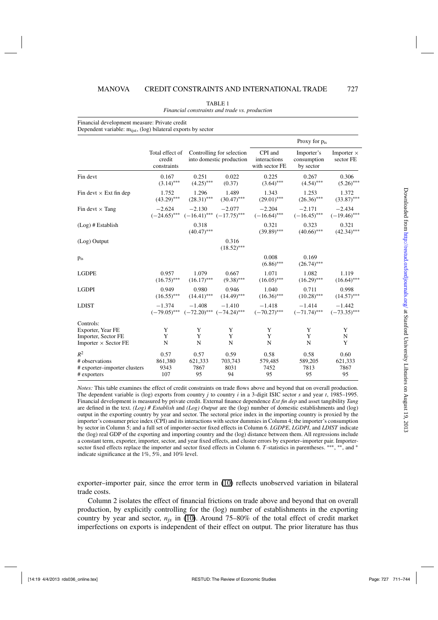<span id="page-16-0"></span>

| Financial development measure: Private credit<br>Dependent variable: $m_{\text{list}}$ , (log) bilateral exports by sector |                                          |                                           |                                                       |                                           |                                        |                                |  |  |
|----------------------------------------------------------------------------------------------------------------------------|------------------------------------------|-------------------------------------------|-------------------------------------------------------|-------------------------------------------|----------------------------------------|--------------------------------|--|--|
|                                                                                                                            |                                          |                                           |                                                       |                                           | Proxy for $p_{is}$                     |                                |  |  |
|                                                                                                                            | Total effect of<br>credit<br>constraints |                                           | Controlling for selection<br>into domestic production | CPI and<br>interactions<br>with sector FE | Importer's<br>consumption<br>by sector | Importer $\times$<br>sector FE |  |  |
| Fin devt                                                                                                                   | 0.167<br>$(3.14)$ ***                    | 0.251<br>$(4.25)$ ***                     | 0.022<br>(0.37)                                       | 0.225<br>$(3.64)$ ***                     | 0.267<br>$(4.54)$ ***                  | 0.306<br>$(5.26)$ ***          |  |  |
| Fin devt $\times$ Ext fin dep                                                                                              | 1.752<br>$(43.29)$ ***                   | 1.296<br>$(28.31)$ ***                    | 1.489<br>$(30.47)$ ***                                | 1.343<br>$(29.01)$ ***                    | 1.253<br>$(26.36)$ ***                 | 1.372<br>$(33.87)$ ***         |  |  |
| Fin devt $\times$ Tang                                                                                                     | $-2.624$<br>$(-24.65)$ ***               | $-2.130$<br>$(-16.41)$ *** $(-17.75)$ *** | $-2.077$                                              | $-2.204$<br>$(-16.64)$ ***                | $-2.171$<br>$(-16.45)$ ***             | $-2.434$<br>$(-19.46)$ ***     |  |  |
| $(Log)$ # Establish                                                                                                        |                                          | 0.318<br>$(40.47)$ ***                    |                                                       | 0.321<br>$(39.89)$ ***                    | 0.323<br>$(40.66)$ ***                 | 0.321<br>$(42.34)$ ***         |  |  |
| (Log) Output                                                                                                               |                                          |                                           | 0.316<br>$(18.52)$ ***                                |                                           |                                        |                                |  |  |
| $p_{is}$                                                                                                                   |                                          |                                           |                                                       | 0.008<br>$(6.86)$ ***                     | 0.169<br>$(26.74)$ ***                 |                                |  |  |
| <b>LGDPE</b>                                                                                                               | 0.957<br>$(16.75)$ ***                   | 1.079<br>$(16.17)$ ***                    | 0.667<br>$(9.38)$ ***                                 | 1.071<br>$(16.05)$ ***                    | 1.082<br>$(16.29)$ ***                 | 1.119<br>$(16.64)$ ***         |  |  |
| <b>LGDPI</b>                                                                                                               | 0.949<br>$(16.55)$ ***                   | 0.980<br>$(14.41)$ ***                    | 0.946<br>$(14.49)$ ***                                | 1.040<br>$(16.36)$ ***                    | 0.711<br>$(10.28)$ ***                 | 0.998<br>$(14.57)$ ***         |  |  |
| <b>LDIST</b>                                                                                                               | $-1.374$<br>$(-79.05)$ ***               | $-1.408$<br>$(-72.20)$ *** $(-74.24)$ *** | $-1.410$                                              | $-1.418$<br>$(-70.27)$ ***                | $-1.414$<br>$(-71.74)$ ***             | $-1.442$<br>$(-73.35)$ ***     |  |  |
| Controls:<br>Exporter, Year FE<br>Importer, Sector FE<br>Importer $\times$ Sector FE                                       | Y<br>Y<br>N                              | Y<br>Y<br>N                               | Y<br>Y<br>N                                           | Y<br>Y<br>$\mathbf N$                     | Y<br>Y<br>N                            | Y<br>N<br>Y                    |  |  |
| $R^2$<br># observations<br># exporter-importer clusters<br># exporters                                                     | 0.57<br>861,380<br>9343<br>107           | 0.57<br>621,333<br>7867<br>95             | 0.59<br>703,743<br>8031<br>94                         | 0.58<br>579,485<br>7452<br>95             | 0.58<br>589,205<br>7813<br>95          | 0.60<br>621,333<br>7867<br>95  |  |  |

| TABLE 1                                        |  |
|------------------------------------------------|--|
| Financial constraints and trade vs. production |  |

*Notes:* This table examines the effect of credit constraints on trade flows above and beyond that on overall production. The dependent variable is (log) exports from country *j* to country *i* in a 3-digit ISIC sector *s* and year *t*, 1985–1995. Financial development is measured by private credit. External finance dependence *Ext fin dep* and asset tangibility *Tang* are defined in the text. *(Log) # Establish* and *(Log) Output* are the (log) number of domestic establishments and (log) output in the exporting country by year and sector. The sectoral price index in the importing country is proxied by the importer's consumer price index (CPI) and its interactions with sector dummies in Column 4; the importer's consumption by sector in Column 5; and a full set of importer-sector fixed effects in Column 6. *LGDPE*, *LGDPI*, and *LDIST* indicate the (log) real GDP of the exporting and importing country and the (log) distance between them. All regressions include a constant term, exporter, importer, sector, and year fixed effects, and cluster errors by exporter–importer pair. Importersector fixed effects replace the importer and sector fixed effects in Column 6. *T*-statistics in parentheses. \*\*\*, \*\*, and \* indicate significance at the 1%, 5%, and 10% level.

exporter–importer pair, since the error term in [\(10\)](#page-11-0) reflects unobserved variation in bilateral trade costs.

Column 2 isolates the effect of financial frictions on trade above and beyond that on overall production, by explicitly controlling for the (log) number of establishments in the exporting country by year and sector, *njs* in [\(10\)](#page-11-0). Around 75–80% of the total effect of credit market imperfections on exports is independent of their effect on output. The prior literature has thus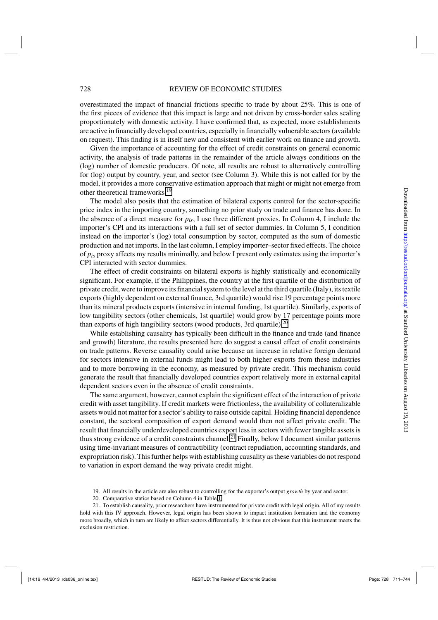overestimated the impact of financial frictions specific to trade by about 25%. This is one of the first pieces of evidence that this impact is large and not driven by cross-border sales scaling proportionately with domestic activity. I have confirmed that, as expected, more establishments are active in financially developed countries, especially in financially vulnerable sectors (available on request). This finding is in itself new and consistent with earlier work on finance and growth.

Given the importance of accounting for the effect of credit constraints on general economic activity, the analysis of trade patterns in the remainder of the article always conditions on the (log) number of domestic producers. Of note, all results are robust to alternatively controlling for (log) output by country, year, and sector (see Column 3). While this is not called for by the model, it provides a more conservative estimation approach that might or might not emerge from other theoretical frameworks.<sup>19</sup>

The model also posits that the estimation of bilateral exports control for the sector-specific price index in the importing country, something no prior study on trade and finance has done. In the absence of a direct measure for  $p_{is}$ , I use three different proxies. In Column 4, I include the importer's CPI and its interactions with a full set of sector dummies. In Column 5, I condition instead on the importer's (log) total consumption by sector, computed as the sum of domestic production and net imports. In the last column, I employ importer–sector fixed effects. The choice of *pis* proxy affects my results minimally, and below I present only estimates using the importer's CPI interacted with sector dummies.

The effect of credit constraints on bilateral exports is highly statistically and economically significant. For example, if the Philippines, the country at the first quartile of the distribution of private credit, were to improve its financial system to the level at the third quartile (Italy), its textile exports (highly dependent on external finance, 3rd quartile) would rise 19 percentage points more than its mineral products exports (intensive in internal funding, 1st quartile). Similarly, exports of low tangibility sectors (other chemicals, 1st quartile) would grow by 17 percentage points more than exports of high tangibility sectors (wood products, 3rd quartile).<sup>20</sup>

While establishing causality has typically been difficult in the finance and trade (and finance and growth) literature, the results presented here do suggest a causal effect of credit constraints on trade patterns. Reverse causality could arise because an increase in relative foreign demand for sectors intensive in external funds might lead to both higher exports from these industries and to more borrowing in the economy, as measured by private credit. This mechanism could generate the result that financially developed countries export relatively more in external capital dependent sectors even in the absence of credit constraints.

The same argument, however, cannot explain the significant effect of the interaction of private credit with asset tangibility. If credit markets were frictionless, the availability of collateralizable assets would not matter for a sector's ability to raise outside capital. Holding financial dependence constant, the sectoral composition of export demand would then not affect private credit. The result that financially underdeveloped countries export less in sectors with fewer tangible assets is thus strong evidence of a credit constraints channel.<sup>21</sup> Finally, below I document similar patterns using time-invariant measures of contractibility (contract repudiation, accounting standards, and expropriation risk). This further helps with establishing causality as these variables do not respond to variation in export demand the way private credit might.

19. All results in the article are also robust to controlling for the exporter's output *growth* by year and sector.

20. Comparative statics based on Column 4 in Table [1.](#page-16-0)

21. To establish causality, prior researchers have instrumented for private credit with legal origin. All of my results hold with this IV approach. However, legal origin has been shown to impact institution formation and the economy more broadly, which in turn are likely to affect sectors differentially. It is thus not obvious that this instrument meets the exclusion restriction.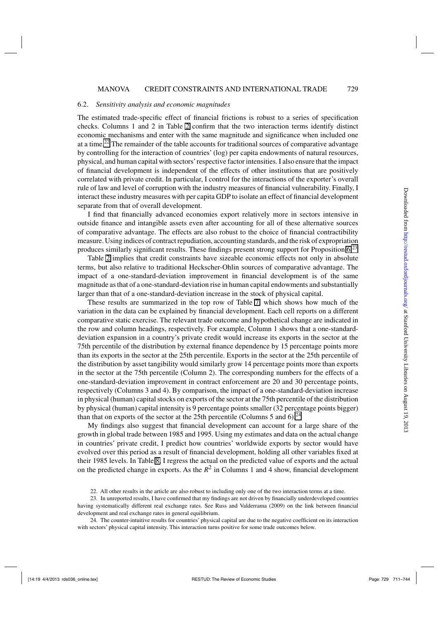## 6.2. *Sensitivity analysis and economic magnitudes*

The estimated trade-specific effect of financial frictions is robust to a series of specification checks. Columns 1 and 2 in Table [2](#page-19-0) confirm that the two interaction terms identify distinct economic mechanisms and enter with the same magnitude and significance when included one at a time.<sup>22</sup> The remainder of the table accounts for traditional sources of comparative advantage by controlling for the interaction of countries' (log) per capita endowments of natural resources, physical, and human capital with sectors'respective factor intensities. I also ensure that the impact of financial development is independent of the effects of other institutions that are positively correlated with private credit. In particular, I control for the interactions of the exporter's overall rule of law and level of corruption with the industry measures of financial vulnerability. Finally, I interact these industry measures with per capita GDP to isolate an effect of financial development separate from that of overall development.

I find that financially advanced economies export relatively more in sectors intensive in outside finance and intangible assets even after accounting for all of these alternative sources of comparative advantage. The effects are also robust to the choice of financial contractibility measure. Using indices of contract repudiation, accounting standards, and the risk of expropriation produces similarly significant results. These findings present strong support for Proposition [6.](#page-8-0)<sup>23</sup>

Table [2](#page-19-0) implies that credit constraints have sizeable economic effects not only in absolute terms, but also relative to traditional Heckscher-Ohlin sources of comparative advantage. The impact of a one-standard-deviation improvement in financial development is of the same magnitude as that of a one-standard-deviation rise in human capital endowments and substantially larger than that of a one-standard-deviation increase in the stock of physical capital.

These results are summarized in the top row of Table [7,](#page-27-0) which shows how much of the variation in the data can be explained by financial development. Each cell reports on a different comparative static exercise. The relevant trade outcome and hypothetical change are indicated in the row and column headings, respectively. For example, Column 1 shows that a one-standarddeviation expansion in a country's private credit would increase its exports in the sector at the 75th percentile of the distribution by external finance dependence by 15 percentage points more than its exports in the sector at the 25th percentile. Exports in the sector at the 25th percentile of the distribution by asset tangibility would similarly grow 14 percentage points more than exports in the sector at the 75th percentile (Column 2). The corresponding numbers for the effects of a one-standard-deviation improvement in contract enforcement are 20 and 30 percentage points, respectively (Columns 3 and 4). By comparison, the impact of a one-standard-deviation increase in physical (human) capital stocks on exports of the sector at the 75th percentile of the distribution by physical (human) capital intensity is 9 percentage points smaller (32 percentage points bigger) than that on exports of the sector at the 25th percentile (Columns 5 and 6).<sup>24</sup>

My findings also suggest that financial development can account for a large share of the growth in global trade between 1985 and 1995. Using my estimates and data on the actual change in countries' private credit, I predict how countries' worldwide exports by sector would have evolved over this period as a result of financial development, holding all other variables fixed at their 1985 levels. In Table [8,](#page-28-0) I regress the actual on the predicted value of exports and the actual on the predicted change in exports. As the  $R^2$  in Columns 1 and 4 show, financial development

24. The counter-intuitive results for countries' physical capital are due to the negative coefficient on its interaction with sectors' physical capital intensity. This interaction turns positive for some trade outcomes below.

<sup>22.</sup> All other results in the article are also robust to including only one of the two interaction terms at a time.

<sup>23.</sup> In unreported results, I have confirmed that my findings are not driven by financially underdeveloped countries having systematically different real exchange rates. See Russ and Valderrama (2009) on the link between financial development and real exchange rates in general equilibrium.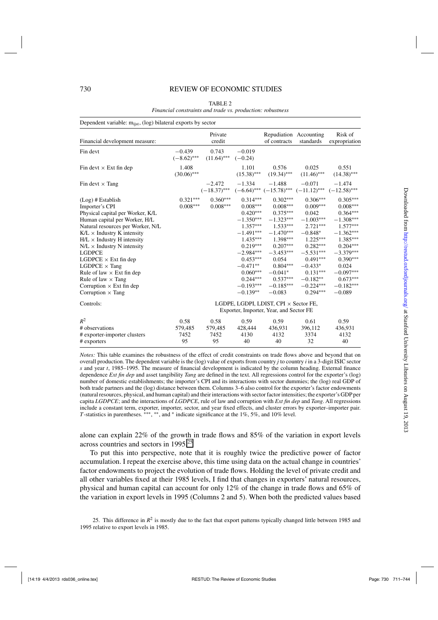<span id="page-19-0"></span>

| Dependent variable: $m_{i,jst}$ , (log) bilateral exports by sector                                                                                                                                                                                                                                                                                                                                                                                                    |                               |                               |                                                                                                                                                                                                                    |                                                                                                                                                                                                            |                                                                                                                                                                                                            |                                                                                                                                                                                                                          |
|------------------------------------------------------------------------------------------------------------------------------------------------------------------------------------------------------------------------------------------------------------------------------------------------------------------------------------------------------------------------------------------------------------------------------------------------------------------------|-------------------------------|-------------------------------|--------------------------------------------------------------------------------------------------------------------------------------------------------------------------------------------------------------------|------------------------------------------------------------------------------------------------------------------------------------------------------------------------------------------------------------|------------------------------------------------------------------------------------------------------------------------------------------------------------------------------------------------------------|--------------------------------------------------------------------------------------------------------------------------------------------------------------------------------------------------------------------------|
| Financial development measure:                                                                                                                                                                                                                                                                                                                                                                                                                                         |                               | Private<br>credit             |                                                                                                                                                                                                                    | of contracts                                                                                                                                                                                               | Repudiation Accounting<br>standards                                                                                                                                                                        | Risk of<br>expropriation                                                                                                                                                                                                 |
| Fin devt                                                                                                                                                                                                                                                                                                                                                                                                                                                               | $-0.439$<br>$(-8.62)$ ***     | 0.743<br>$(11.64)$ ***        | $-0.019$<br>$(-0.24)$                                                                                                                                                                                              |                                                                                                                                                                                                            |                                                                                                                                                                                                            |                                                                                                                                                                                                                          |
| Fin devt $\times$ Ext fin dep                                                                                                                                                                                                                                                                                                                                                                                                                                          | 1.408<br>$(30.06)$ ***        |                               | 1.101<br>$(15.38)$ ***                                                                                                                                                                                             | 0.576<br>$(19.34)$ ***                                                                                                                                                                                     | 0.025<br>$(11.46)$ ***                                                                                                                                                                                     | 0.551<br>$(14.38)$ ***                                                                                                                                                                                                   |
| Fin devt $\times$ Tang                                                                                                                                                                                                                                                                                                                                                                                                                                                 |                               | $-2.472$<br>$(-18.37)$ ***    | $-1.334$                                                                                                                                                                                                           | $-1.488$                                                                                                                                                                                                   | $-0.071$<br>$(-6.64)$ *** $(-15.78)$ *** $(-11.12)$ ***                                                                                                                                                    | $-1.474$<br>$(-12.58)$ ***                                                                                                                                                                                               |
| $(Log)$ # Establish<br>Importer's CPI<br>Physical capital per Worker, K/L<br>Human capital per Worker, H/L<br>Natural resources per Worker, N/L<br>$K/L \times$ Industry K intensity<br>$H/L \times$ Industry H intensity<br>$N/L \times$ Industry N intensity<br><b>LGDPCE</b><br>$LGDPCE \times Ext$ fin dep<br>$LGDPCE \times Tang$<br>Rule of law $\times$ Ext fin dep<br>Rule of law $\times$ Tang<br>Corruption $\times$ Ext fin dep<br>Corruption $\times$ Tang | $0.321***$<br>$0.008***$      | $0.360***$<br>$0.008***$      | $0.314***$<br>$0.008***$<br>$0.420***$<br>$-1.350***$<br>$1.357***$<br>$-1.491***$<br>$1.435***$<br>$0.219***$<br>$-2.984***$<br>$0.453***$<br>$-0.471**$<br>$0.060***$<br>$0.244***$<br>$-0.193***$<br>$-0.139**$ | $0.302***$<br>$0.008***$<br>$0.375***$<br>$-1.323***$<br>$1.533***$<br>$-1.470***$<br>$1.398***$<br>$0.207***$<br>$-3.453***$<br>0.054<br>$0.804***$<br>$-0.041*$<br>$0.537***$<br>$-0.185***$<br>$-0.083$ | $0.306***$<br>$0.009***$<br>0.042<br>$-1.003***$<br>$2.721***$<br>$-0.848*$<br>$1.225***$<br>$0.282***$<br>$-5.531***$<br>$0.491***$<br>$-0.433*$<br>$0.131***$<br>$-0.182**$<br>$-0.224***$<br>$0.294***$ | $0.305***$<br>$0.008^{\ast\ast\ast}$<br>$0.364***$<br>$-1.308***$<br>$1.577***$<br>$-1.362***$<br>$1.385***$<br>$0.204***$<br>$-3.379***$<br>$0.390***$<br>0.024<br>$-0.097***$<br>$0.673***$<br>$-0.182***$<br>$-0.089$ |
| Controls:                                                                                                                                                                                                                                                                                                                                                                                                                                                              |                               |                               |                                                                                                                                                                                                                    | LGDPE, LGDPI, LDIST, CPI $\times$ Sector FE,<br>Exporter, Importer, Year, and Sector FE                                                                                                                    |                                                                                                                                                                                                            |                                                                                                                                                                                                                          |
| $R^2$<br># observations<br># exporter-importer clusters<br># exporters                                                                                                                                                                                                                                                                                                                                                                                                 | 0.58<br>579,485<br>7452<br>95 | 0.58<br>579,485<br>7452<br>95 | 0.59<br>428,444<br>4130<br>40                                                                                                                                                                                      | 0.59<br>436,931<br>4132<br>40                                                                                                                                                                              | 0.61<br>396,112<br>3374<br>32                                                                                                                                                                              | 0.59<br>436,931<br>4132<br>40                                                                                                                                                                                            |

TABLE 2 *Financial constraints and trade vs. production: robustness*

*Notes:* This table examines the robustness of the effect of credit constraints on trade flows above and beyond that on overall production. The dependent variable is the (log) value of exports from country *j* to country *i* in a 3-digit ISIC sector *s* and year *t*, 1985–1995. The measure of financial development is indicated by the column heading. External finance dependence *Ext fin dep* and asset tangibility *Tang* are defined in the text. All regressions control for the exporter's (log) number of domestic establishments; the importer's CPI and its interactions with sector dummies; the (log) real GDP of both trade partners and the (log) distance between them. Columns 3–6 also control for the exporter's factor endowments (natural resources, physical, and human capital) and their interactions with sector factor intensities; the exporter's GDP per capita *LGDPCE*; and the interactions of *LGDPCE*, rule of law and corruption with *Ext fin dep* and *Tang*. All regressions include a constant term, exporter, importer, sector, and year fixed effects, and cluster errors by exporter–importer pair. *T*-statistics in parentheses. <sup>\*\*\*</sup>, \*\*, and \* indicate significance at the 1%, 5%, and 10% level.

alone can explain 22% of the growth in trade flows and 85% of the variation in export levels across countries and sectors in 1995.<sup>25</sup>

To put this into perspective, note that it is roughly twice the predictive power of factor accumulation. I repeat the exercise above, this time using data on the actual change in countries' factor endowments to project the evolution of trade flows. Holding the level of private credit and all other variables fixed at their 1985 levels, I find that changes in exporters' natural resources, physical and human capital can account for only 12% of the change in trade flows and 65% of the variation in export levels in 1995 (Columns 2 and 5). When both the predicted values based

25. This difference in  $R^2$  is mostly due to the fact that export patterns typically changed little between 1985 and 1995 relative to export levels in 1985.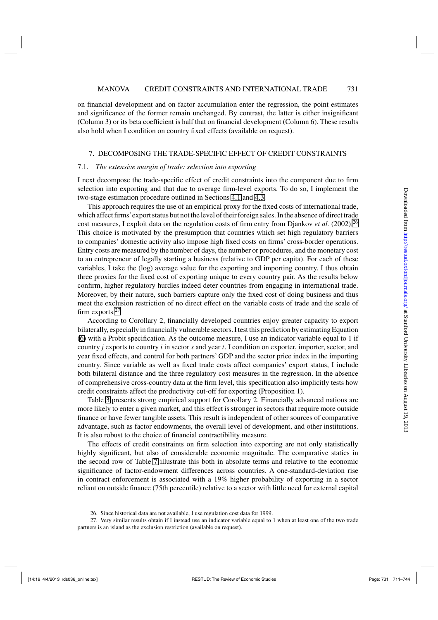on financial development and on factor accumulation enter the regression, the point estimates and significance of the former remain unchanged. By contrast, the latter is either insignificant (Column 3) or its beta coefficient is half that on financial development (Column 6). These results also hold when I condition on country fixed effects (available on request).

# 7. DECOMPOSING THE TRADE-SPECIFIC EFFECT OF CREDIT CONSTRAINTS

# 7.1. *The extensive margin of trade: selection into exporting*

I next decompose the trade-specific effect of credit constraints into the component due to firm selection into exporting and that due to average firm-level exports. To do so, I implement the two-stage estimation procedure outlined in Sections [4.1](#page-9-0) and [4.3.](#page-10-0)

This approach requires the use of an empirical proxy for the fixed costs of international trade, which affect firms'export status but not the level of their foreign sales. In the absence of direct trade cost measures, I exploit data on the regulation costs of firm entry from Djankov *et al.* (2002).<sup>26</sup> This choice is motivated by the presumption that countries which set high regulatory barriers to companies' domestic activity also impose high fixed costs on firms' cross-border operations. Entry costs are measured by the number of days, the number or procedures, and the monetary cost to an entrepreneur of legally starting a business (relative to GDP per capita). For each of these variables, I take the (log) average value for the exporting and importing country. I thus obtain three proxies for the fixed cost of exporting unique to every country pair. As the results below confirm, higher regulatory hurdles indeed deter countries from engaging in international trade. Moreover, by their nature, such barriers capture only the fixed cost of doing business and thus meet the exclusion restriction of no direct effect on the variable costs of trade and the scale of firm exports. $27$ 

According to Corollary 2, financially developed countries enjoy greater capacity to export bilaterally, especially in financially vulnerable sectors. I test this prediction by estimating Equation [\(6\)](#page-10-0) with a Probit specification. As the outcome measure, I use an indicator variable equal to 1 if country *j* exports to country *i* in sector *s* and year *t*. I condition on exporter, importer, sector, and year fixed effects, and control for both partners' GDP and the sector price index in the importing country. Since variable as well as fixed trade costs affect companies' export status, I include both bilateral distance and the three regulatory cost measures in the regression. In the absence of comprehensive cross-country data at the firm level, this specification also implicitly tests how credit constraints affect the productivity cut-off for exporting (Proposition 1).

Table [3](#page-21-0) presents strong empirical support for Corollary 2. Financially advanced nations are more likely to enter a given market, and this effect is stronger in sectors that require more outside finance or have fewer tangible assets. This result is independent of other sources of comparative advantage, such as factor endowments, the overall level of development, and other institutions. It is also robust to the choice of financial contractibility measure.

The effects of credit constraints on firm selection into exporting are not only statistically highly significant, but also of considerable economic magnitude. The comparative statics in the second row of Table [7](#page-27-0) illustrate this both in absolute terms and relative to the economic significance of factor-endowment differences across countries. A one-standard-deviation rise in contract enforcement is associated with a 19% higher probability of exporting in a sector reliant on outside finance (75th percentile) relative to a sector with little need for external capital

<sup>26.</sup> Since historical data are not available, I use regulation cost data for 1999.

<sup>27.</sup> Very similar results obtain if I instead use an indicator variable equal to 1 when at least one of the two trade partners is an island as the exclusion restriction (available on request).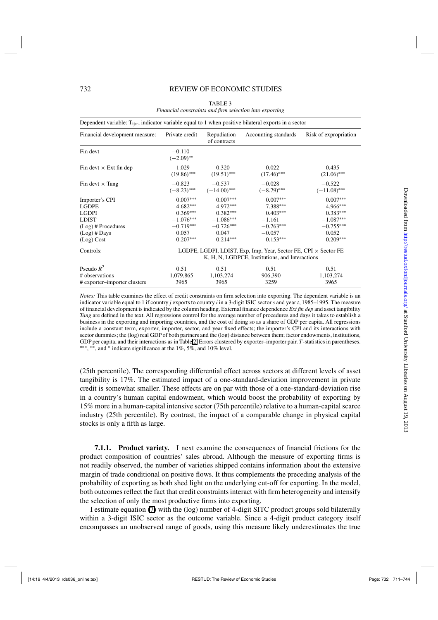<span id="page-21-0"></span>

| Dependent variable: $T_{\text{list}}$ , indicator variable equal to 1 when positive bilateral exports in a sector |                           |                                                     |                                                                                                                           |                            |  |  |  |
|-------------------------------------------------------------------------------------------------------------------|---------------------------|-----------------------------------------------------|---------------------------------------------------------------------------------------------------------------------------|----------------------------|--|--|--|
| Financial development measure:                                                                                    | Private credit            | Repudiation<br>Accounting standards<br>of contracts |                                                                                                                           | Risk of expropriation      |  |  |  |
| Fin devt                                                                                                          | $-0.110$<br>$(-2.09)$ **  |                                                     |                                                                                                                           |                            |  |  |  |
| Fin devt $\times$ Ext fin dep                                                                                     | 1.029<br>$(19.86)$ ***    | 0.320<br>$(19.51)$ ***                              | 0.022<br>$(17.46)$ ***                                                                                                    | 0.435<br>$(21.06)$ ***     |  |  |  |
| Fin devt $\times$ Tang                                                                                            | $-0.823$<br>$(-8.23)$ *** | $-0.537$<br>$(-14.00)$ ***                          | $-0.028$<br>$(-8.79)$ ***                                                                                                 | $-0.522$<br>$(-11.08)$ *** |  |  |  |
| Importer's CPI                                                                                                    | $0.007***$                | $0.007***$                                          | $0.007***$                                                                                                                | $0.007***$                 |  |  |  |
| <b>LGDPE</b>                                                                                                      | $4.682***$                | $4.972***$                                          | $7.388***$                                                                                                                | $4.966***$                 |  |  |  |
| LGDPI                                                                                                             | $0.369***$                | $0.382***$                                          | $0.403***$                                                                                                                | $0.383***$                 |  |  |  |
| <b>LDIST</b>                                                                                                      | $-1.076***$               | $-1.086***$                                         | $-1.161$                                                                                                                  | $-1.087***$                |  |  |  |
| $(Log)$ # Procedures                                                                                              | $-0.719***$               | $-0.726***$                                         | $-0.763***$                                                                                                               | $-0.755***$                |  |  |  |
| $(Log)$ # Days                                                                                                    | 0.057                     | 0.047                                               | $-0.057$                                                                                                                  | 0.052                      |  |  |  |
| (Log) Cost                                                                                                        | $-0.207***$               | $-0.214***$                                         | $-0.153***$                                                                                                               | $-0.209***$                |  |  |  |
| Controls:                                                                                                         |                           |                                                     | LGDPE, LGDPI, LDIST, Exp, Imp, Year, Sector FE, CPI $\times$ Sector FE<br>K, H, N, LGDPCE, Institutions, and Interactions |                            |  |  |  |
| Pseudo $R^2$                                                                                                      | 0.51                      | 0.51                                                | 0.51                                                                                                                      | 0.51                       |  |  |  |
| # observations                                                                                                    | 1,079,865                 | 1,103,274                                           | 906,390                                                                                                                   | 1,103,274                  |  |  |  |
| # exporter-importer clusters                                                                                      | 3965                      | 3965                                                | 3259                                                                                                                      | 3965                       |  |  |  |

TABLE 3 *Financial constraints and firm selection into exporting*

*Notes:* This table examines the effect of credit constraints on firm selection into exporting. The dependent variable is an indicator variable equal to 1 if country *j* exports to country *i* in a 3-digit ISIC sector *s* and year *t*, 1985–1995. The measure of financial development is indicated by the column heading. External finance dependence *Ext fin dep* and asset tangibility *Tang* are defined in the text. All regressions control for the average number of procedures and days it takes to establish a business in the exporting and importing countries, and the cost of doing so as a share of GDP per capita. All regressions include a constant term, exporter, importer, sector, and year fixed effects; the importer's CPI and its interactions with sector dummies; the (log) real GDP of both partners and the (log) distance between them; factor endowments, institutions, GDP per capita, and their interactions as in Table [2.](#page-19-0) Errors clustered by exporter–importer pair. *T*-statistics in parentheses. ∗∗∗, ∗∗, and ∗ indicate significance at the 1%, 5%, and 10% level.

(25th percentile). The corresponding differential effect across sectors at different levels of asset tangibility is 17%. The estimated impact of a one-standard-deviation improvement in private credit is somewhat smaller. These effects are on par with those of a one-standard-deviation rise in a country's human capital endowment, which would boost the probability of exporting by 15% more in a human-capital intensive sector (75th percentile) relative to a human-capital scarce industry (25th percentile). By contrast, the impact of a comparable change in physical capital stocks is only a fifth as large.

**7.1.1. Product variety.** I next examine the consequences of financial frictions for the product composition of countries' sales abroad. Although the measure of exporting firms is not readily observed, the number of varieties shipped contains information about the extensive margin of trade conditional on positive flows. It thus complements the preceding analysis of the probability of exporting as both shed light on the underlying cut-off for exporting. In the model, both outcomes reflect the fact that credit constraints interact with firm heterogeneity and intensify the selection of only the most productive firms into exporting.

I estimate equation [\(7\)](#page-10-0) with the (log) number of 4-digit SITC product groups sold bilaterally within a 3-digit ISIC sector as the outcome variable. Since a 4-digit product category itself encompasses an unobserved range of goods, using this measure likely underestimates the true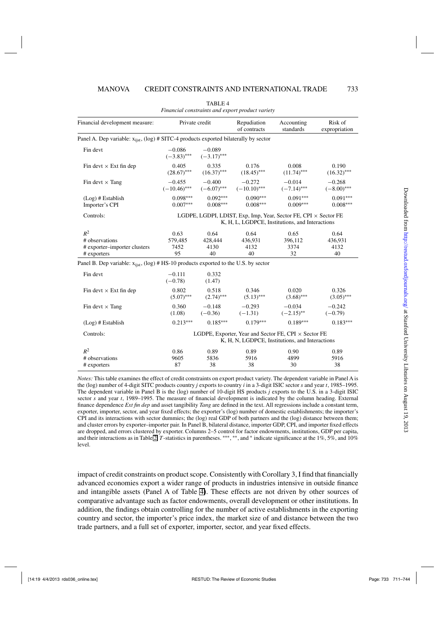<span id="page-22-0"></span>

| Financial development measure:                                                                    | Private credit                                                                                                 |                               | Repudiation<br>of contracts   | Accounting<br>standards                                                                                                   | Risk of<br>expropriation      |  |
|---------------------------------------------------------------------------------------------------|----------------------------------------------------------------------------------------------------------------|-------------------------------|-------------------------------|---------------------------------------------------------------------------------------------------------------------------|-------------------------------|--|
| Panel A. Dep variable: x <sub>ijst</sub> , (log) # SITC-4 products exported bilaterally by sector |                                                                                                                |                               |                               |                                                                                                                           |                               |  |
| Fin devt                                                                                          | $-0.086$<br>$(-3.83)$ ***                                                                                      | $-0.089$<br>$(-3.17)$ ***     |                               |                                                                                                                           |                               |  |
| Fin devt $\times$ Ext fin dep                                                                     | 0.405<br>$(28.67)$ ***                                                                                         | 0.335<br>$(16.37)$ ***        | 0.176<br>$(18.45)$ ***        | 0.008<br>$(11.74)$ ***                                                                                                    | 0.190<br>$(16.32)$ ***        |  |
| Fin devt $\times$ Tang                                                                            | $-0.455$<br>$(-10.46)$ ***                                                                                     | $-0.400$<br>$(-6.07)$ ***     | $-0.272$<br>$(-10.10)$ ***    | $-0.014$<br>$(-7.14)$ ***                                                                                                 | $-0.268$<br>$(-8.00)$ ***     |  |
| $(Log)$ # Establish<br>Importer's CPI                                                             | $0.098***$<br>$0.007***$                                                                                       | $0.092***$<br>$0.008***$      | $0.090***$<br>$0.008***$      | $0.091***$<br>$0.009***$                                                                                                  | $0.091***$<br>$0.008***$      |  |
| Controls:                                                                                         |                                                                                                                |                               |                               | LGDPE, LGDPI, LDIST, Exp, Imp, Year, Sector FE, CPI $\times$ Sector FE<br>K, H, L, LGDPCE, Institutions, and Interactions |                               |  |
| $R^2$<br># observations<br># exporter-importer clusters<br># exporters                            | 0.63<br>579,485<br>7452<br>95                                                                                  | 0.64<br>428,444<br>4130<br>40 | 0.64<br>436,931<br>4132<br>40 | 0.65<br>396,112<br>3374<br>32                                                                                             | 0.64<br>436,931<br>4132<br>40 |  |
| Panel B. Dep variable: $x_{iist}$ , (log) # HS-10 products exported to the U.S. by sector         |                                                                                                                |                               |                               |                                                                                                                           |                               |  |
| Fin devt                                                                                          | $-0.111$<br>$(-0.78)$                                                                                          | 0.332<br>(1.47)               |                               |                                                                                                                           |                               |  |
| Fin devt $\times$ Ext fin dep                                                                     | 0.802<br>$(5.07)$ ***                                                                                          | 0.518<br>$(2.74)$ ***         | 0.346<br>$(5.13)$ ***         | 0.020<br>$(3.68)$ ***                                                                                                     | 0.326<br>$(3.05)$ ***         |  |
| Fin devt $\times$ Tang                                                                            | 0.360<br>(1.08)                                                                                                | $-0.148$<br>$(-0.36)$         | $-0.293$<br>$(-1.31)$         | $-0.034$<br>$(-2.15)$ **                                                                                                  | $-0.242$<br>$(-0.79)$         |  |
| $(Log)$ # Establish                                                                               | $0.213***$                                                                                                     | $0.185***$                    | $0.179***$                    | $0.189***$                                                                                                                | $0.183***$                    |  |
| Controls:                                                                                         | LGDPE, Exporter, Year and Sector FE, CPI $\times$ Sector FE<br>K, H, N, LGDPCE, Institutions, and Interactions |                               |                               |                                                                                                                           |                               |  |
| $R^2$<br># observations<br># exporters                                                            | 0.86<br>9605<br>87                                                                                             | 0.89<br>5836<br>38            | 0.89<br>5916<br>38            | 0.90<br>4899<br>30                                                                                                        | 0.89<br>5916<br>38            |  |

TABLE 4 *Financial constraints and export product variety*

*Notes:* This table examines the effect of credit constraints on export product variety. The dependent variable in Panel A is the (log) number of 4-digit SITC products country *j* exports to country *i* in a 3-digit ISIC sector *s* and year *t*, 1985–1995. The dependent variable in Panel B is the (log) number of 10-digit HS products *j* exports to the U.S. in a 3-digit ISIC sector *s* and year *t*, 1989–1995. The measure of financial development is indicated by the column heading. External finance dependence *Ext fin dep* and asset tangibility *Tang* are defined in the text. All regressions include a constant term, exporter, importer, sector, and year fixed effects; the exporter's (log) number of domestic establishments; the importer's CPI and its interactions with sector dummies; the (log) real GDP of both partners and the (log) distance between them; and cluster errors by exporter–importer pair. In Panel B, bilateral distance, importer GDP, CPI, and importer fixed effects are dropped, and errors clustered by exporter. Columns 2–5 control for factor endowments, institutions, GDP per capita, and their interactions as in Table [2.](#page-19-0) *T*-statistics in parentheses. \*\*\*, \*\*, and \* indicate significance at the 1%, 5%, and 10% level.

impact of credit constraints on product scope. Consistently with Corollary 3, I find that financially advanced economies export a wider range of products in industries intensive in outside finance and intangible assets (Panel A of Table 4). These effects are not driven by other sources of comparative advantage such as factor endowments, overall development or other institutions. In addition, the findings obtain controlling for the number of active establishments in the exporting country and sector, the importer's price index, the market size of and distance between the two trade partners, and a full set of exporter, importer, sector, and year fixed effects.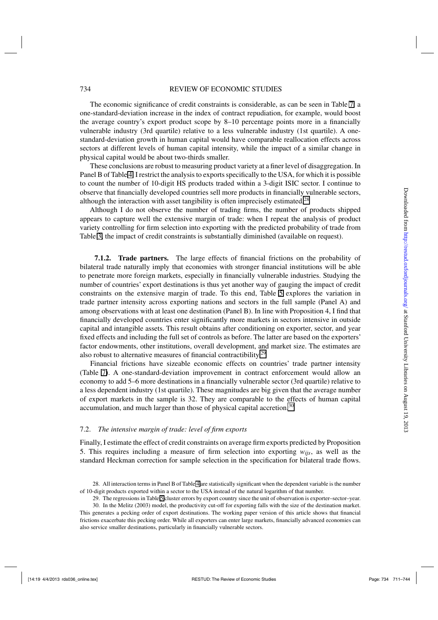The economic significance of credit constraints is considerable, as can be seen in Table [7:](#page-27-0) a one-standard-deviation increase in the index of contract repudiation, for example, would boost the average country's export product scope by 8–10 percentage points more in a financially vulnerable industry (3rd quartile) relative to a less vulnerable industry (1st quartile). A onestandard-deviation growth in human capital would have comparable reallocation effects across sectors at different levels of human capital intensity, while the impact of a similar change in physical capital would be about two-thirds smaller.

These conclusions are robust to measuring product variety at a finer level of disaggregation. In Panel B of Table [4,](#page-22-0) I restrict the analysis to exports specifically to the USA, for which it is possible to count the number of 10-digit HS products traded within a 3-digit ISIC sector. I continue to observe that financially developed countries sell more products in financially vulnerable sectors, although the interaction with asset tangibility is often imprecisely estimated.<sup>28</sup>

Although I do not observe the number of trading firms, the number of products shipped appears to capture well the extensive margin of trade: when I repeat the analysis of product variety controlling for firm selection into exporting with the predicted probability of trade from Table [3,](#page-21-0) the impact of credit constraints is substantially diminished (available on request).

**7.1.2. Trade partners.** The large effects of financial frictions on the probability of bilateral trade naturally imply that economies with stronger financial institutions will be able to penetrate more foreign markets, especially in financially vulnerable industries. Studying the number of countries' export destinations is thus yet another way of gauging the impact of credit constraints on the extensive margin of trade. To this end, Table [5](#page-24-0) explores the variation in trade partner intensity across exporting nations and sectors in the full sample (Panel A) and among observations with at least one destination (Panel B). In line with Proposition 4, I find that financially developed countries enter significantly more markets in sectors intensive in outside capital and intangible assets. This result obtains after conditioning on exporter, sector, and year fixed effects and including the full set of controls as before. The latter are based on the exporters' factor endowments, other institutions, overall development, and market size. The estimates are also robust to alternative measures of financial contractibility.<sup>29</sup>

Financial frictions have sizeable economic effects on countries' trade partner intensity (Table [7\)](#page-27-0). A one-standard-deviation improvement in contract enforcement would allow an economy to add 5–6 more destinations in a financially vulnerable sector (3rd quartile) relative to a less dependent industry (1st quartile). These magnitudes are big given that the average number of export markets in the sample is 32. They are comparable to the effects of human capital accumulation, and much larger than those of physical capital accretion.<sup>30</sup>

# 7.2. *The intensive margin of trade: level of firm exports*

Finally, I estimate the effect of credit constraints on average firm exports predicted by Proposition 5. This requires including a measure of firm selection into exporting *wijs*, as well as the standard Heckman correction for sample selection in the specification for bilateral trade flows.

<sup>28.</sup> All interaction terms in Panel B of Table [4](#page-22-0) are statistically significant when the dependent variable is the number of 10-digit products exported within a sector to the USA instead of the natural logarithm of that number.

<sup>29.</sup> The regressions in Table [5](#page-24-0) cluster errors by export country since the unit of observation is exporter–sector–year.

<sup>30.</sup> In the Melitz (2003) model, the productivity cut-off for exporting falls with the size of the destination market. This generates a pecking order of export destinations. The working paper version of this article shows that financial frictions exacerbate this pecking order. While all exporters can enter large markets, financially advanced economies can also service smaller destinations, particularly in financially vulnerable sectors.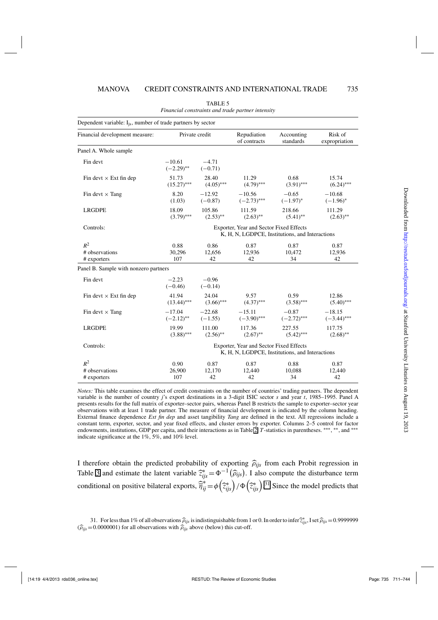<span id="page-24-0"></span>

| Dependent variable: $I_{is}$ , number of trade partners by sector |                                                                                            |                      |                                         |                                                 |                          |  |
|-------------------------------------------------------------------|--------------------------------------------------------------------------------------------|----------------------|-----------------------------------------|-------------------------------------------------|--------------------------|--|
| Financial development measure:                                    | Private credit                                                                             |                      | Repudiation<br>of contracts             | Accounting<br>standards                         | Risk of<br>expropriation |  |
| Panel A. Whole sample                                             |                                                                                            |                      |                                         |                                                 |                          |  |
| Fin devt                                                          | $-10.61$<br>$(-2.29)$ **                                                                   | $-4.71$<br>$(-0.71)$ |                                         |                                                 |                          |  |
| Fin devt $\times$ Ext fin dep                                     | 51.73                                                                                      | 28.40                | 11.29                                   | 0.68                                            | 15.74                    |  |
|                                                                   | $(15.27)$ ***                                                                              | $(4.05)$ ***         | $(4.79)$ ***                            | $(3.91)$ ***                                    | $(6.24)$ ***             |  |
| Fin devt $\times$ Tang                                            | 8.20                                                                                       | $-12.92$             | $-10.56$                                | $-0.65$                                         | $-10.68$                 |  |
|                                                                   | (1.03)                                                                                     | $(-0.87)$            | $(-2.73)$ ***                           | $(-1.97)^{*}$                                   | $(-1.96)^*$              |  |
| <b>LRGDPE</b>                                                     | 18.09                                                                                      | 105.86               | 111.59                                  | 218.66                                          | 111.29                   |  |
|                                                                   | $(3.79)$ ***                                                                               | $(2.53)$ **          | $(2.63)$ **                             | $(5.41)$ **                                     | $(2.63)$ **              |  |
| Controls:                                                         | Exporter, Year and Sector Fixed Effects<br>K, H, N, LGDPCE, Institutions, and Interactions |                      |                                         |                                                 |                          |  |
| $R^2$                                                             | 0.88                                                                                       | 0.86                 | 0.87                                    | 0.87                                            | 0.87                     |  |
| # observations                                                    | 30,296                                                                                     | 12,656               | 12,936                                  | 10,472                                          | 12,936                   |  |
| # exporters                                                       | 107                                                                                        | 42                   | 42                                      | 34                                              | 42                       |  |
| Panel B. Sample with nonzero partners                             |                                                                                            |                      |                                         |                                                 |                          |  |
| Fin devt                                                          | $-2.23$<br>$(-0.46)$                                                                       | $-0.96$<br>$(-0.14)$ |                                         |                                                 |                          |  |
| Fin devt $\times$ Ext fin dep                                     | 41.94                                                                                      | 24.04                | 9.57                                    | 0.59                                            | 12.86                    |  |
|                                                                   | $(13.44)$ ***                                                                              | $(3.66)$ ***         | $(4.37)$ ***                            | $(3.58)$ ***                                    | $(5.40)$ ***             |  |
| Fin devt $\times$ Tang                                            | $-17.04$                                                                                   | $-22.68$             | $-15.11$                                | $-0.87$                                         | $-18.15$                 |  |
|                                                                   | $(-2.12)$ **                                                                               | $(-1.55)$            | $(-3.90)$ ***                           | $(-2.72)$ ***                                   | $(-3.44)$ ***            |  |
| <b>LRGDPE</b>                                                     | 19.99                                                                                      | 111.00               | 117.36                                  | 227.55                                          | 117.75                   |  |
|                                                                   | $(3.88)$ ***                                                                               | $(2.56)$ **          | $(2.67)$ **                             | $(5.42)$ ***                                    | $(2.68)$ **              |  |
| Controls:                                                         |                                                                                            |                      | Exporter, Year and Sector Fixed Effects | K, H, N, LGDPCE, Institutions, and Interactions |                          |  |
| $R^2$                                                             | 0.90                                                                                       | 0.87                 | 0.87                                    | 0.88                                            | 0.87                     |  |
| # observations                                                    | 26,900                                                                                     | 12,170               | 12,440                                  | 10,088                                          | 12,440                   |  |
| # exporters                                                       | 107                                                                                        | 42                   | 42                                      | 34                                              | 42                       |  |

TABLE 5 *Financial constraints and trade partner intensity*

*Notes:* This table examines the effect of credit constraints on the number of countries' trading partners. The dependent variable is the number of country *j*'s export destinations in a 3-digit ISIC sector *s* and year *t*, 1985–1995. Panel A presents results for the full matrix of exporter–sector pairs, whereas Panel B restricts the sample to exporter–sector year observations with at least 1 trade partner. The measure of financial development is indicated by the column heading. External finance dependence *Ext fin dep* and asset tangibility *Tang* are defined in the text. All regressions include a constant term, exporter, sector, and year fixed effects, and cluster errors by exporter. Columns 2–5 control for factor endowments, institutions, GDP per capita, and their interactions as in Table [2.](#page-19-0) *T*-statistics in parentheses. \*\*\*, \*\*, and \*\*\* indicate significance at the 1%, 5%, and 10% level.

I therefore obtain the predicted probability of exporting <sup>ρ</sup>*ijs* from each Probit regression in Table [3](#page-21-0) and estimate the latent variable  $\hat{z}_{ijs}^* = \Phi^{-1}(\hat{\rho}_{ijs})$ . I also compute the disturbance term conditional on positive bilateral exports,  $\hat{\vec{n}}_{ij}^* = \phi\left(\hat{z}_{ijs}^*\right) / \Phi\left(\hat{z}_{ijs}^*\right)$ .<sup>31</sup> Since the model predicts that

<sup>31.</sup> For less than 1% of all observations  $\hat{\rho}_{ijs}$  is indistinguishable from 1 or 0. In order to infer $\hat{\tau}_{ijs}^*$ , I set  $\hat{\rho}_{ijs} = 0.99999999$  $(\widehat{\rho}_{ijs} = 0.0000001)$  for all observations with  $\widehat{\rho}_{ijs}$  above (below) this cut-off.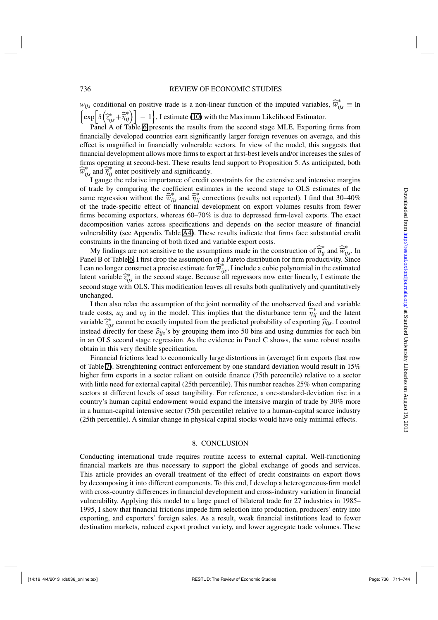*w<sub>ijs</sub>* conditional on positive trade is a non-linear function of the imputed variables,  $\hat{\vec{w}}^*_{ijs} \equiv \ln \hat{\vec{w}}$  $\left\{ \exp \left[ \delta \left( \hat{z}_{ijs}^* + \hat{\overline{\eta}}_{ij}^* \right) \right] - 1 \right\}$ , I estimate [\(10\)](#page-11-0) with the Maximum Likelihood Estimator.

Panel A of Table [6](#page-26-0) presents the results from the second stage MLE. Exporting firms from financially developed countries earn significantly larger foreign revenues on average, and this effect is magnified in financially vulnerable sectors. In view of the model, this suggests that financial development allows more firms to export at first-best levels and/or increases the sales of firms operating at second-best. These results lend support to Proposition 5. As anticipated, both  $\widehat{\overline{w}}_{ijs}^*$  and  $\widehat{\overline{\eta}}_{ij}^*$  enter positively and significantly.

I gauge the relative importance of credit constraints for the extensive and intensive margins of trade by comparing the coefficient estimates in the second stage to OLS estimates of the same regression without the  $\hat{\vec{w}}_{ijs}^*$  and  $\hat{\vec{\eta}}_{ij}^*$  corrections (results not reported). I find that 30–40% of the trade-specific effect of financial development on export volumes results from fewer firms becoming exporters, whereas 60–70% is due to depressed firm-level exports. The exact decomposition varies across specifications and depends on the sector measure of financial vulnerability (see Appendix Table [A4\)](#page-22-0). These results indicate that firms face substantial credit constraints in the financing of both fixed and variable export costs.

My findings are not sensitive to the assumptions made in the construction of  $\hat{\overline{\eta}}_{ij}^*$  and  $\hat{\overline{w}}_{ijs}^*$ . In Panel B of Table [6,](#page-26-0) I first drop the assumption of a Pareto distribution for firm productivity. Since I can no longer construct a precise estimate for  $\widehat{w}_{ijs}^*$ , I include a cubic polynomial in the estimated latent variable  $\hat{z}_{ij}^*$  in the second stage. Because all regressors now enter linearly, I estimate the second stage with OLS. This modification leaves all results both qualitatively and quantitatively unchanged.

I then also relax the assumption of the joint normality of the unobserved fixed and variable trade costs,  $u_{ij}$  and  $v_{ij}$  in the model. This implies that the disturbance term  $\hat{\overline{\eta}}_{ij}^*$  and the latent variable  $\hat{z}^*_{ijs}$  cannot be exactly imputed from the predicted probability of exporting  $\hat{\rho}_{ijs}$ . I control instead directly for these  $\hat{\rho}_{ijs}$ 's by grouping them into 50 bins and using dummies for each bin in an OLS second stage regression. As the evidence in Panel C shows, the same robust results obtain in this very flexible specification.

Financial frictions lead to economically large distortions in (average) firm exports (last row of Table [7\)](#page-27-0). Strenghtening contract enforcement by one standard deviation would result in 15% higher firm exports in a sector reliant on outside finance (75th percentile) relative to a sector with little need for external capital (25th percentile). This number reaches 25% when comparing sectors at different levels of asset tangibility. For reference, a one-standard-deviation rise in a country's human capital endowment would expand the intensive margin of trade by 30% more in a human-capital intensive sector (75th percentile) relative to a human-capital scarce industry (25th percentile). A similar change in physical capital stocks would have only minimal effects.

## 8. CONCLUSION

Conducting international trade requires routine access to external capital. Well-functioning financial markets are thus necessary to support the global exchange of goods and services. This article provides an overall treatment of the effect of credit constraints on export flows by decomposing it into different components. To this end, I develop a heterogeneous-firm model with cross-country differences in financial development and cross-industry variation in financial vulnerability. Applying this model to a large panel of bilateral trade for 27 industries in 1985– 1995, I show that financial frictions impede firm selection into production, producers' entry into exporting, and exporters' foreign sales. As a result, weak financial institutions lead to fewer destination markets, reduced export product variety, and lower aggregate trade volumes. These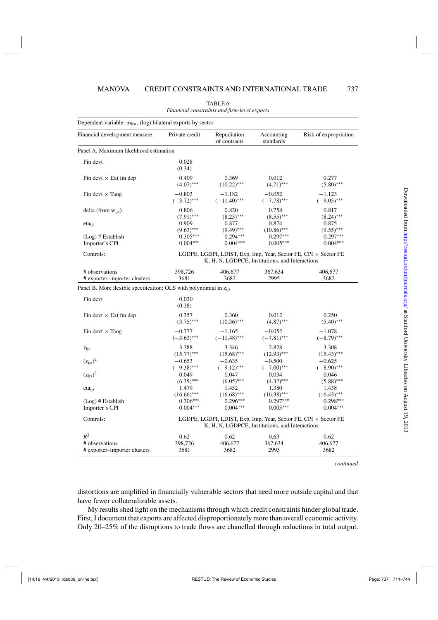<span id="page-26-0"></span>

| Dependent variable: m <sub>ijst</sub> , (log) bilateral exports by sector |                 |                                                 |                         |                                                                        |  |  |  |  |
|---------------------------------------------------------------------------|-----------------|-------------------------------------------------|-------------------------|------------------------------------------------------------------------|--|--|--|--|
| Financial development measure:                                            | Private credit  | Repudiation<br>of contracts                     | Accounting<br>standards | Risk of expropriation                                                  |  |  |  |  |
| Panel A. Maximum likelihood estimation                                    |                 |                                                 |                         |                                                                        |  |  |  |  |
| Fin devt                                                                  | 0.028<br>(0.34) |                                                 |                         |                                                                        |  |  |  |  |
| Fin devt $\times$ Ext fin dep                                             | 0.409           | 0.369                                           | 0.012                   | 0.277                                                                  |  |  |  |  |
|                                                                           | $(4.07)$ ***    | $(10.22)$ ***                                   | $(4.71)$ ***            | $(5.80)$ ***                                                           |  |  |  |  |
| Fin devt $\times$ Tang                                                    | $-0.803$        | $-1.182$                                        | $-0.052$                | $-1.123$                                                               |  |  |  |  |
|                                                                           | $(-3.72)$ ***   | $(-11.40)$ ***                                  | $(-7.78)$ ***           | $(-9.05)$ ***                                                          |  |  |  |  |
| delta (from $w_{iis}$ )                                                   | 0.806           | 0.820                                           | 0.758                   | 0.817                                                                  |  |  |  |  |
|                                                                           | $(7.91)$ ***    | $(8.25)$ ***                                    | $(8.55)$ ***            | $(8.24)$ ***                                                           |  |  |  |  |
| eta <sub>ijs</sub>                                                        | 0.909           | 0.877                                           | 0.874                   | 0.875                                                                  |  |  |  |  |
|                                                                           | $(9.63)$ ***    | $(9.49)$ ***                                    | $(10.86)$ ***           | $(9.55)$ ***                                                           |  |  |  |  |
| $(Log)$ # Establish                                                       | $0.305***$      | $0.294***$                                      | $0.297***$              | $0.297***$                                                             |  |  |  |  |
| Importer's CPI                                                            | $0.004***$      | $0.004***$                                      | $0.005***$              | $0.004***$                                                             |  |  |  |  |
| Controls:                                                                 |                 | K, H, N, LGDPCE, Institutions, and Interactions |                         | LGDPE, LGDPI, LDIST, Exp, Imp, Year, Sector FE, CPI $\times$ Sector FE |  |  |  |  |
| # observations                                                            | 398,726         | 406,677                                         | 367,634                 | 406,677                                                                |  |  |  |  |
| # exporter-importer clusters                                              | 3681            | 3682                                            | 2995                    | 3682                                                                   |  |  |  |  |
| Panel B. More flexible specification: OLS with polynomial in zijs         |                 |                                                 |                         |                                                                        |  |  |  |  |
| Fin devt                                                                  | 0.030<br>(0.38) |                                                 |                         |                                                                        |  |  |  |  |
| Fin devt $\times$ Ext fin dep                                             | 0.357           | 0.360                                           | 0.012                   | 0.250                                                                  |  |  |  |  |
|                                                                           | $(3.75)$ ***    | $(10.36)$ ***                                   | $(4.87)$ ***            | $(5.40)$ ***                                                           |  |  |  |  |
| Fin devt $\times$ Tang                                                    | $-0.777$        | $-1.165$                                        | $-0.052$                | $-1.078$                                                               |  |  |  |  |
|                                                                           | $(-3.63)$ ***   | $(-11.48)$ ***                                  | $(-7.81)$ ***           | $(-8.79)$ ***                                                          |  |  |  |  |
| Zijs                                                                      | 3.388           | 3.346                                           | 2.828                   | 3.308                                                                  |  |  |  |  |
|                                                                           | $(15.77)$ ***   | $(15.68)$ ***                                   | $(12.93)$ ***           | $(15.43)$ ***                                                          |  |  |  |  |
| $(z_{ijs})^2$                                                             | $-0.653$        | $-0.635$                                        | $-0.500$                | $-0.625$                                                               |  |  |  |  |
|                                                                           | $(-9.38)$ ***   | $(-9.12)$ ***                                   | $(-7.00)$ ***           | $(-8.90)$ ***                                                          |  |  |  |  |
| $(z_{ijs})^3$                                                             | 0.049           | 0.047                                           | 0.034                   | 0.046                                                                  |  |  |  |  |
|                                                                           | $(6.35)$ ***    | $(6.05)$ ***                                    | $(4.32)$ ***            | $(5.88)$ ***                                                           |  |  |  |  |
| eta <sub>ijs</sub>                                                        | 1.479           | 1.452                                           | 1.380                   | 1.438                                                                  |  |  |  |  |
|                                                                           | $(16.66)$ ***   | $(16.68)$ ***                                   | $(16.38)$ ***           | $(16.43)$ ***                                                          |  |  |  |  |
| $(Log)$ # Establish                                                       | $0.306***$      | $0.296***$                                      | $0.297***$              | $0.298***$                                                             |  |  |  |  |
| Importer's CPI                                                            | $0.004***$      | $0.004***$                                      | $0.005***$              | $0.004***$                                                             |  |  |  |  |
| Controls:                                                                 |                 | K, H, N, LGDPCE, Institutions, and Interactions |                         | LGDPE, LGDPI, LDIST, Exp, Imp, Year, Sector FE, CPI × Sector FE        |  |  |  |  |
| $R^2$                                                                     | 0.62            | 0.62                                            | 0.63                    | 0.62                                                                   |  |  |  |  |
| # observations                                                            | 398,726         | 406,677                                         | 367,634                 | 406,677                                                                |  |  |  |  |
| # exporter-importer clusters                                              | 3681            | 3682                                            | 2995                    | 3682                                                                   |  |  |  |  |

TABLE 6 *Financial constraints and firm-level exports*

*continued*

distortions are amplified in financially vulnerable sectors that need more outside capital and that have fewer collateralizable assets.

My results shed light on the mechanisms through which credit constraints hinder global trade. First, I document that exports are affected disproportionately more than overall economic activity. Only 20–25% of the disruptions to trade flows are chanelled through reductions in total output.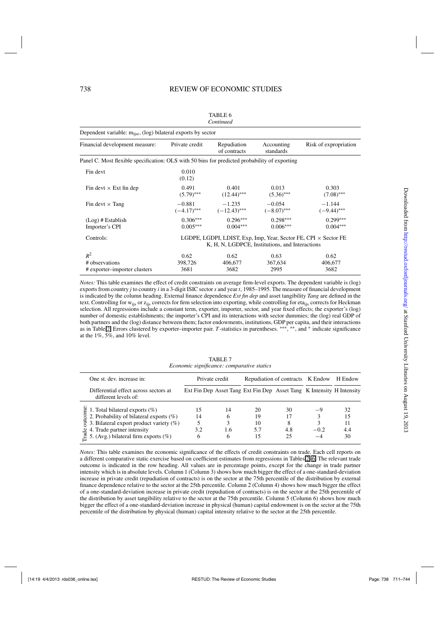<span id="page-27-0"></span>

| Dependent variable: $m_{\text{iist}}$ , (log) bilateral exports by sector                     |                           |                                                        |                           |                                                                 |
|-----------------------------------------------------------------------------------------------|---------------------------|--------------------------------------------------------|---------------------------|-----------------------------------------------------------------|
| Financial development measure:                                                                | Private credit            | Repudiation<br>Accounting<br>of contracts<br>standards |                           | Risk of expropriation                                           |
| Panel C. Most flexible specification: OLS with 50 bins for predicted probability of exporting |                           |                                                        |                           |                                                                 |
| Fin devt                                                                                      | 0.010<br>(0.12)           |                                                        |                           |                                                                 |
| Fin devt $\times$ Ext fin dep                                                                 | 0.491<br>$(5.79)$ ***     | 0.401<br>$(12.44)$ ***                                 | 0.013<br>$(5.36)$ ***     | 0.303<br>$(7.08)$ ***                                           |
| Fin devt $\times$ Tang                                                                        | $-0.881$<br>$(-4.17)$ *** | $-1.235$<br>$(-12.43)$ ***                             | $-0.054$<br>$(-8.07)$ *** | $-1.144$<br>$(-9.44)$ ***                                       |
| $(Log)$ # Establish<br>Importer's CPI                                                         | $0.306***$<br>$0.005***$  | $0.296***$<br>$0.004***$                               | $0.298***$<br>$0.006***$  | $0.299***$<br>$0.004***$                                        |
| Controls:                                                                                     |                           | K, H, N, LGDPCE, Institutions, and Interactions        |                           | LGDPE, LGDPI, LDIST, Exp, Imp, Year, Sector FE, CPI × Sector FE |
| $R^2$                                                                                         | 0.62                      | 0.62                                                   | 0.63                      | 0.62                                                            |
| # observations                                                                                | 398,726                   | 406,677                                                | 367,634                   | 406,677                                                         |
| # exporter-importer clusters                                                                  | 3681                      | 3682                                                   | 2995                      | 3682                                                            |

TABLE 6 *Continued*

*Notes:* This table examines the effect of credit constraints on average firm-level exports. The dependent variable is (log) exports from country *j* to country *i* in a 3-digit ISIC sector *s* and year *t*, 1985–1995. The measure of financial development is indicated by the column heading. External finance dependence *Ext fin dep* and asset tangibility *Tang* are defined in the text. Controlling for w<sub>ijs</sub> or z<sub>ijs</sub> corrects for firm selection into exporting, while controlling for eta<sub>ijs</sub> corrects for Heckman selection. All regressions include a constant term, exporter, importer, sector, and year fixed effects; the exporter's (log) number of domestic establishments; the importer's CPI and its interactions with sector dummies; the (log) real GDP of both partners and the (log) distance between them; factor endowments, institutions, GDP per capita, and their interactions as in Table [2.](#page-19-0) Errors clustered by exporter–importer pair. *T*-statistics in parentheses. ∗∗∗, ∗∗, and ∗ indicate significance at the 1%, 5%, and 10% level.

| One st. dev. increase in:                                     | Private credit |     |                                                                       | Repudiation of contracts K Endow |        | H Endow |
|---------------------------------------------------------------|----------------|-----|-----------------------------------------------------------------------|----------------------------------|--------|---------|
| Differential effect across sectors at<br>different levels of: |                |     | Ext Fin Dep Asset Tang Ext Fin Dep Asset Tang K Intensity H Intensity |                                  |        |         |
| 1. Total bilateral exports $(\%)$                             | 15             | 14  | 20                                                                    | 30                               | -9     | 32      |
| $\overline{S}$ 2. Probability of bilateral exports (%)        | 14             |     | 19                                                                    | 17                               |        |         |
| $\frac{3}{6}$ 3. Bilateral export product variety (%)         |                |     | 10                                                                    | 8                                |        |         |
| 4. Trade partner intensity<br>₽                               | 3.2            | 1.6 | 5.7                                                                   | 4.8                              | $-0.2$ | 4.4     |
| $\mathbb{E}$ 5. (Avg.) bilateral firm exports (%)             | 6              | 6   | 15                                                                    | 25                               | -4     | 30      |

TABLE 7 *Economic significance: comparative statics*

*Notes:* This table examines the economic significance of the effects of credit constraints on trade. Each cell reports on a different comparative static exercise based on coefficient estimates from regressions in Tables [2](#page-19-0)[–6.](#page-26-0) The relevant trade outcome is indicated in the row heading. All values are in percentage points, except for the change in trade partner intensity which is in absolute levels. Column 1 (Column 3) shows how much bigger the effect of a one-standard-deviation increase in private credit (repudiation of contracts) is on the sector at the 75th percentile of the distribution by external finance dependence relative to the sector at the 25th percentile. Column 2 (Column 4) shows how much bigger the effect of a one-standard-deviation increase in private credit (repudiation of contracts) is on the sector at the 25th percentile of the distribution by asset tangibility relative to the sector at the 75th percentile. Column 5 (Column 6) shows how much bigger the effect of a one-standard-deviation increase in physical (human) capital endowment is on the sector at the 75th percentile of the distribution by physical (human) capital intensity relative to the sector at the 25th percentile.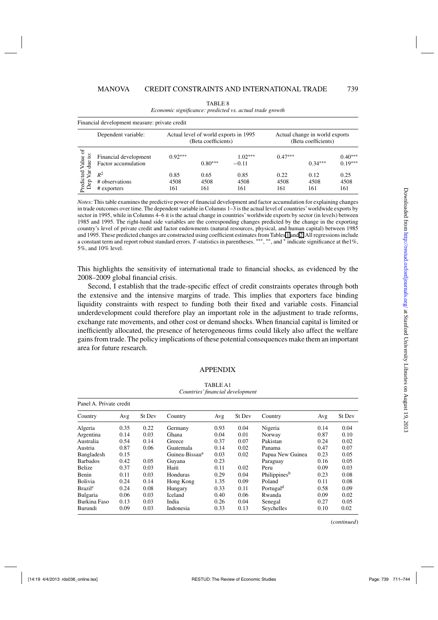<span id="page-28-0"></span>

|                                     | Financial development measure: private credit |                                                              |                     |                      |                                                       |                     |                        |
|-------------------------------------|-----------------------------------------------|--------------------------------------------------------------|---------------------|----------------------|-------------------------------------------------------|---------------------|------------------------|
|                                     | Dependent variable:                           | Actual level of world exports in 1995<br>(Beta coefficients) |                     |                      | Actual change in world exports<br>(Beta coefficients) |                     |                        |
| ಕ<br>$\ddot{\rm e}$<br>Value<br>due | Financial development<br>Factor accumulation  | $0.92***$                                                    | $0.80***$           | $1.02***$<br>$-0.11$ | $0.47***$                                             | $0.34***$           | $0.40***$<br>$0.19***$ |
| Уäг<br>Predicted<br>Dep Var         | $R^2$<br># observations<br># exporters        | 0.85<br>4508<br>161                                          | 0.65<br>4508<br>161 | 0.85<br>4508<br>161  | 0.22<br>4508<br>161                                   | 0.12<br>4508<br>161 | 0.25<br>4508<br>161    |

TABLE 8 *Economic significance: predicted vs. actual trade growth*

*Notes:* This table examines the predictive power of financial development and factor accumulation for explaining changes in trade outcomes over time. The dependent variable in Columns 1–3 is the actual level of countries' worldwide exports by sector in 1995, while in Columns 4–6 it is the actual change in countries' worldwide exports by sector (in levels) between 1985 and 1995. The right-hand side variables are the corresponding changes predicted by the change in the exporting country's level of private credit and factor endowments (natural resources, physical, and human capital) between 1985 and 1995. These predicted changes are constructed using coefficient estimates from Tables [1](#page-16-0) and [2.](#page-19-0)All regressions include a constant term and report robust standard errors. *T*-statistics in parentheses. ∗∗∗, ∗∗, and ∗ indicate significance at the1%, 5%, and 10% level.

This highlights the sensitivity of international trade to financial shocks, as evidenced by the 2008–2009 global financial crisis.

Second, I establish that the trade-specific effect of credit constraints operates through both the extensive and the intensive margins of trade. This implies that exporters face binding liquidity constraints with respect to funding both their fixed and variable costs. Financial underdevelopment could therefore play an important role in the adjustment to trade reforms, exchange rate movements, and other cost or demand shocks. When financial capital is limited or inefficiently allocated, the presence of heterogeneous firms could likely also affect the welfare gains from trade. The policy implications of these potential consequences make them an important area for future research.

## APPENDIX

| TABLE A1                         |  |
|----------------------------------|--|
| Countries' financial development |  |
|                                  |  |

| Panel A. Private credit |      |        |                            |      |        |                          |      |        |
|-------------------------|------|--------|----------------------------|------|--------|--------------------------|------|--------|
| Country                 | Avg  | St Dev | Country                    | Avg  | St Dev | Country                  | Avg  | St Dev |
| Algeria                 | 0.35 | 0.22   | Germany                    | 0.93 | 0.04   | Nigeria                  | 0.14 | 0.04   |
| Argentina               | 0.14 | 0.03   | Ghana                      | 0.04 | 0.01   | Norway                   | 0.87 | 0.10   |
| Australia               | 0.54 | 0.14   | Greece                     | 0.37 | 0.07   | Pakistan                 | 0.24 | 0.02   |
| Austria                 | 0.87 | 0.06   | Guatemala                  | 0.14 | 0.02   | Panama                   | 0.47 | 0.07   |
| Bangladesh              | 0.15 |        | Guinea-Bissau <sup>a</sup> | 0.03 | 0.02   | Papua New Guinea         | 0.23 | 0.05   |
| <b>Barbados</b>         | 0.42 | 0.05   | Guyana                     | 0.23 |        | Paraguay                 | 0.16 | 0.05   |
| <b>Belize</b>           | 0.37 | 0.03   | Haiti                      | 0.11 | 0.02   | Peru                     | 0.09 | 0.03   |
| Benin                   | 0.11 | 0.03   | Honduras                   | 0.29 | 0.04   | Philippines <sup>b</sup> | 0.23 | 0.08   |
| <b>Bolivia</b>          | 0.24 | 0.14   | Hong Kong                  | 1.35 | 0.09   | Poland                   | 0.11 | 0.08   |
| Brazil <sup>c</sup>     | 0.24 | 0.08   | Hungary                    | 0.33 | 0.11   | Portugal <sup>d</sup>    | 0.58 | 0.09   |
| Bulgaria                | 0.06 | 0.03   | Iceland                    | 0.40 | 0.06   | Rwanda                   | 0.09 | 0.02   |
| Burkina Faso            | 0.13 | 0.03   | India                      | 0.26 | 0.04   | Senegal                  | 0.27 | 0.05   |
| Burundi                 | 0.09 | 0.03   | Indonesia                  | 0.33 | 0.13   | Seychelles               | 0.10 | 0.02   |

(*continued*)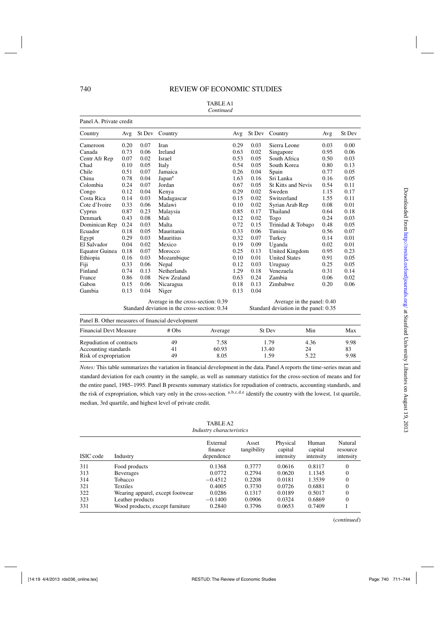# 740 REVIEW OF ECONOMIC STUDIES

| Panel A. Private credit                       |      |        |                                                  |         |                                       |                            |                           |      |        |
|-----------------------------------------------|------|--------|--------------------------------------------------|---------|---------------------------------------|----------------------------|---------------------------|------|--------|
| Country                                       | Avg  | St Dev | Country                                          |         | Avg                                   | St Dev                     | Country                   | Avg  | St Dev |
| Cameroon                                      | 0.20 | 0.07   | Iran                                             |         | 0.29                                  | 0.03                       | Sierra Leone              | 0.03 | 0.00   |
| Canada                                        | 0.73 | 0.06   | Ireland                                          |         | 0.63                                  | 0.02                       | Singapore                 | 0.95 | 0.06   |
| Centr Afr Rep                                 | 0.07 | 0.02   | Israel                                           |         | 0.53                                  | 0.05                       | South Africa              | 0.50 | 0.03   |
| Chad                                          | 0.10 | 0.05   | Italy                                            |         | 0.54                                  | 0.05                       | South Korea               | 0.80 | 0.13   |
| Chile                                         | 0.51 | 0.07   | Jamaica                                          |         | 0.26                                  | 0.04                       | Spain                     | 0.77 | 0.05   |
| China                                         | 0.78 | 0.04   | Japane                                           |         | 1.63                                  | 0.16                       | Sri Lanka                 | 0.16 | 0.05   |
| Colombia                                      | 0.24 | 0.07   | Jordan                                           |         | 0.67                                  | 0.05                       | <b>St Kitts and Nevis</b> | 0.54 | 0.11   |
| Congo                                         | 0.12 | 0.04   | Kenya                                            |         | 0.29                                  | 0.02                       | Sweden                    | 1.15 | 0.17   |
| Costa Rica                                    | 0.14 | 0.03   | Madagascar                                       |         | 0.15                                  | 0.02                       | Switzerland               | 1.55 | 0.11   |
| Cote d'Ivoire                                 | 0.33 | 0.06   | Malawi                                           |         | 0.10                                  | 0.02                       | Syrian Arab Rep           | 0.08 | 0.01   |
| Cyprus                                        | 0.87 | 0.23   | Malaysia                                         |         | 0.85                                  | 0.17                       | Thailand                  | 0.64 | 0.18   |
| Denmark                                       | 0.43 | 0.08   | Mali                                             |         | 0.12                                  | 0.02                       | Togo                      | 0.24 | 0.03   |
| Dominican Rep                                 | 0.24 | 0.03   | Malta                                            |         | 0.72                                  | 0.15                       | Trinidad & Tobago         | 0.48 | 0.05   |
| Ecuador                                       | 0.18 | 0.05   | Mauritania                                       |         | 0.33                                  | 0.06                       | Tunisia                   | 0.56 | 0.07   |
| Egypt                                         | 0.29 | 0.03   | Mauritius                                        |         | 0.32                                  | 0.07                       | Turkey                    | 0.14 | 0.01   |
| El Salvador                                   | 0.04 | 0.02   | Mexico                                           |         | 0.19                                  | 0.09                       | Uganda                    | 0.02 | 0.01   |
| <b>Equator Guinea</b>                         | 0.18 | 0.07   | Morocco                                          |         | 0.25                                  | 0.13                       | United Kingdom            | 0.95 | 0.23   |
| Ethiopia                                      | 0.16 | 0.03   | Mozambique                                       |         | 0.10                                  | 0.01                       | <b>United States</b>      | 0.91 | 0.05   |
| Fiji                                          | 0.33 | 0.06   | Nepal                                            |         | 0.12                                  | 0.03                       | Uruguay                   | 0.25 | 0.05   |
| Finland                                       | 0.74 | 0.13   | Netherlands                                      |         | 1.29                                  | 0.18                       | Venezuela                 | 0.31 | 0.14   |
| France                                        | 0.86 | 0.08   | New Zealand                                      |         | 0.63                                  | 0.24                       | Zambia                    | 0.06 | 0.02   |
| Gabon                                         | 0.15 | 0.06   | Nicaragua                                        |         | 0.18                                  | 0.13                       | Zimbabwe                  | 0.20 | 0.06   |
| Gambia                                        | 0.13 | 0.04   | Niger                                            |         | 0.13                                  | 0.04                       |                           |      |        |
|                                               |      |        | Average in the cross-section: 0.39               |         |                                       | Average in the panel: 0.40 |                           |      |        |
| Standard deviation in the cross-section: 0.34 |      |        |                                                  |         | Standard deviation in the panel: 0.35 |                            |                           |      |        |
|                                               |      |        | Panel B. Other measures of financial development |         |                                       |                            |                           |      |        |
| <b>Financial Devt Measure</b>                 |      |        | # Obs                                            | Average |                                       |                            | Min<br>St Dev             |      | Max    |
| Repudiation of contracts                      |      |        | 49                                               | 7.58    |                                       |                            | 4.36<br>1.79              |      | 9.98   |
| Accounting standards                          |      |        | 41                                               | 60.93   |                                       |                            | 13.40<br>24               |      | 83     |
| Risk of expropriation                         |      |        | 49                                               | 8.05    |                                       | 5.22<br>1.59               |                           |      | 9.98   |

| TABLE A1  |  |
|-----------|--|
| Continued |  |

*Notes:* This table summarizes the variation in financial development in the data. Panel A reports the time-series mean and standard deviation for each country in the sample, as well as summary statistics for the cross-section of means and for the entire panel, 1985–1995. Panel B presents summary statistics for repudiation of contracts, accounting standards, and the risk of expropriation, which vary only in the cross-section. a,b,c,d,e identify the country with the lowest, 1st quartile, median, 3rd quartile, and highest level of private credit.

| ISIC code | Industry                         | Industry characteristics<br>External<br>finance<br>dependence | Asset<br>tangibility | Physical<br>capital<br>intensity | Human<br>capital<br>intensity | Natural<br>resource<br>intensity |
|-----------|----------------------------------|---------------------------------------------------------------|----------------------|----------------------------------|-------------------------------|----------------------------------|
| 311       | Food products                    | 0.1368                                                        | 0.3777               | 0.0616                           | 0.8117                        | $\Omega$                         |
| 313       | <b>Beverages</b>                 | 0.0772                                                        | 0.2794               | 0.0620                           | 1.1345                        | 0                                |
| 314       | Tobacco                          | $-0.4512$                                                     | 0.2208               | 0.0181                           | 1.3539                        | 0                                |
| 321       | <b>Textiles</b>                  | 0.4005                                                        | 0.3730               | 0.0726                           | 0.6881                        |                                  |
| 322       | Wearing apparel, except footwear | 0.0286                                                        | 0.1317               | 0.0189                           | 0.5017                        | 0                                |
| 323       | Leather products                 | $-0.1400$                                                     | 0.0906               | 0.0324                           | 0.6869                        | $\Omega$                         |
| 331       | Wood products, except furniture  | 0.2840                                                        | 0.3796               | 0.0653                           | 0.7409                        |                                  |

TABLE A2

Risk of expropriation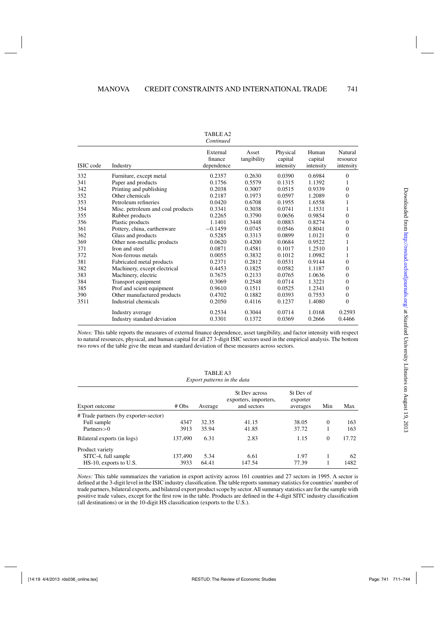|           |                                   | TABLE A2<br>Continued             |                      |                                  |                               |                                  |
|-----------|-----------------------------------|-----------------------------------|----------------------|----------------------------------|-------------------------------|----------------------------------|
| ISIC code | Industry                          | External<br>finance<br>dependence | Asset<br>tangibility | Physical<br>capital<br>intensity | Human<br>capital<br>intensity | Natural<br>resource<br>intensity |
| 332       | Furniture, except metal           | 0.2357                            | 0.2630               | 0.0390                           | 0.6984                        | 0                                |
| 341       | Paper and products                | 0.1756                            | 0.5579               | 0.1315                           | 1.1392                        |                                  |
| 342       | Printing and publishing           | 0.2038                            | 0.3007               | 0.0515                           | 0.9339                        | 0                                |
| 352       | Other chemicals                   | 0.2187                            | 0.1973               | 0.0597                           | 1.2089                        | 0                                |
| 353       | Petroleum refineries              | 0.0420                            | 0.6708               | 0.1955                           | 1.6558                        |                                  |
| 354       | Misc. petroleum and coal products | 0.3341                            | 0.3038               | 0.0741                           | 1.1531                        |                                  |
| 355       | Rubber products                   | 0.2265                            | 0.3790               | 0.0656                           | 0.9854                        | 0                                |
| 356       | Plastic products                  | 1.1401                            | 0.3448               | 0.0883                           | 0.8274                        | 0                                |
| 361       | Pottery, china, earthenware       | $-0.1459$                         | 0.0745               | 0.0546                           | 0.8041                        | 0                                |
| 362       | Glass and products                | 0.5285                            | 0.3313               | 0.0899                           | 1.0121                        | 0                                |
| 369       | Other non-metallic products       | 0.0620                            | 0.4200               | 0.0684                           | 0.9522                        |                                  |
| 371       | Iron and steel                    | 0.0871                            | 0.4581               | 0.1017                           | 1.2510                        |                                  |
| 372       | Non-ferrous metals                | 0.0055                            | 0.3832               | 0.1012                           | 1.0982                        |                                  |
| 381       | Fabricated metal products         | 0.2371                            | 0.2812               | 0.0531                           | 0.9144                        | 0                                |
| 382       | Machinery, except electrical      | 0.4453                            | 0.1825               | 0.0582                           | 1.1187                        | 0                                |
| 383       | Machinery, electric               | 0.7675                            | 0.2133               | 0.0765                           | 1.0636                        | 0                                |
| 384       | Transport equipment               | 0.3069                            | 0.2548               | 0.0714                           | 1.3221                        | 0                                |
| 385       | Prof and scient equipment         | 0.9610                            | 0.1511               | 0.0525                           | 1.2341                        | 0                                |
| 390       | Other manufactured products       | 0.4702                            | 0.1882               | 0.0393                           | 0.7553                        | $\mathbf{0}$                     |
| 3511      | Industrial chemicals              | 0.2050                            | 0.4116               | 0.1237                           | 1.4080                        | $\Omega$                         |
|           | Industry average                  | 0.2534                            | 0.3044               | 0.0714                           | 1.0168                        | 0.2593                           |
|           | Industry standard deviation       | 0.3301                            | 0.1372               | 0.0369                           | 0.2666                        | 0.4466                           |

| <i>Notes:</i> This table reports the measures of external finance dependence, asset tangibility, and factor intensity with respect |
|------------------------------------------------------------------------------------------------------------------------------------|
| to natural resources, physical, and human capital for all 27 3-digit ISIC sectors used in the empirical analysis. The bottom       |
| two rows of the table give the mean and standard deviation of these measures across sectors.                                       |

TABLE A3 *Export patterns in the data*

| Export outcome                        | # Obs   | Average | St Dev across<br>exporters, importers,<br>and sectors | St Dev of<br>exporter<br>averages | Min      | Max   |
|---------------------------------------|---------|---------|-------------------------------------------------------|-----------------------------------|----------|-------|
| # Trade partners (by exporter-sector) |         |         |                                                       |                                   |          |       |
| Full sample                           | 4347    | 32.35   | 41.15                                                 | 38.05                             | $\Omega$ | 163   |
| Partners > 0                          | 3913    | 35.94   | 41.85                                                 | 37.72                             |          | 163   |
| Bilateral exports (in logs)           | 137.490 | 6.31    | 2.83                                                  | 1.15                              | $\Omega$ | 17.72 |
| Product variety                       |         |         |                                                       |                                   |          |       |
| SITC-4, full sample                   | 137.490 | 5.34    | 6.61                                                  | 1.97                              |          | 62    |
| HS-10, exports to U.S.                | 3933    | 64.41   | 147.54                                                | 77.39                             |          | 1482  |

*Notes:* This table summarizes the variation in export activity across 161 countries and 27 sectors in 1995. A sector is defined at the 3-digit level in the ISIC industry classification. The table reports summary statistics for countries'number of trade partners, bilateral exports, and bilateral export product scope by sector.All summary statistics are for the sample with positive trade values, except for the first row in the table. Products are defined in the 4-digit SITC industry classification (all destinations) or in the 10-digit HS classification (exports to the U.S.).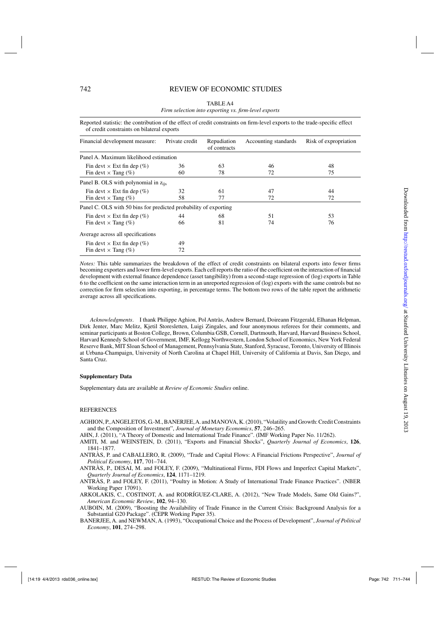## 742 REVIEW OF ECONOMIC STUDIES

| Reported statistic: the contribution of the effect of credit constraints on firm-level exports to the trade-specific effect<br>of credit constraints on bilateral exports |                |                             |                      |                       |
|---------------------------------------------------------------------------------------------------------------------------------------------------------------------------|----------------|-----------------------------|----------------------|-----------------------|
| Financial development measure:                                                                                                                                            | Private credit | Repudiation<br>of contracts | Accounting standards | Risk of expropriation |
| Panel A. Maximum likelihood estimation                                                                                                                                    |                |                             |                      |                       |
| Fin devt $\times$ Ext fin dep (%)<br>Fin devt $\times$ Tang (%)                                                                                                           | 36<br>60       | 63<br>78                    | 46<br>72             | 48<br>75              |
| Panel B. OLS with polynomial in z <sub>iis</sub>                                                                                                                          |                |                             |                      |                       |
| Fin devt $\times$ Ext fin dep (%)<br>Fin devt $\times$ Tang (%)                                                                                                           | 32<br>58       | 61<br>77                    | 47<br>72             | 44<br>72              |
| Panel C. OLS with 50 bins for predicted probability of exporting                                                                                                          |                |                             |                      |                       |
| Fin devt $\times$ Ext fin dep (%)<br>Fin devt $\times$ Tang (%)                                                                                                           | 44<br>66       | 68<br>81                    | 51<br>74             | 53<br>76              |
| Average across all specifications                                                                                                                                         |                |                             |                      |                       |
| Fin devt $\times$ Ext fin dep (%)<br>Fin devt $\times$ Tang (%)                                                                                                           | 49<br>72       |                             |                      |                       |

| TABLE A4                                             |  |
|------------------------------------------------------|--|
| Firm selection into exporting vs. firm-level exports |  |

*Notes:* This table summarizes the breakdown of the effect of credit constraints on bilateral exports into fewer firms becoming exporters and lower firm-level exports. Each cell reports the ratio of the coefficient on the interaction of financial development with external finance dependence (asset tangibility) from a second-stage regression of (log) exports in Table 6 to the coefficient on the same interaction term in an unreported regression of (log) exports with the same controls but no correction for firm selection into exporting, in percentage terms. The bottom two rows of the table report the arithmetic average across all specifications.

*Acknowledgments*. I thank Philippe Aghion, Pol Antràs, Andrew Bernard, Doireann Fitzgerald, Elhanan Helpman, Dirk Jenter, Marc Melitz, Kjetil Storesletten, Luigi Zingales, and four anonymous referees for their comments, and seminar participants at Boston College, Brown, Columbia GSB, Cornell, Dartmouth, Harvard, Harvard Business School, Harvard Kennedy School of Government, IMF, Kellogg Northwestern, London School of Economics, New York Federal Reserve Bank, MIT Sloan School of Management, Pennsylvania State, Stanford, Syracuse, Toronto, University of Illinois at Urbana-Champaign, University of North Carolina at Chapel Hill, University of California at Davis, San Diego, and Santa Cruz.

#### **Supplementary Data**

Supplementary data are available at *Review of Economic Studies* online.

#### REFERENCES

- AGHION, P.,ANGELETOS, G.-M., BANERJEE,A. and MANOVA, K. (2010), "Volatility and Growth: Credit Constraints and the Composition of Investment", *Journal of Monetary Economics*, **57**, 246–265.
- AHN, J. (2011), "A Theory of Domestic and International Trade Finance". (IMF Working Paper No. 11/262).
- AMITI, M. and WEINSTEIN, D. (2011), "Exports and Financial Shocks", *Quarterly Journal of Economics*, **126**, 1841–1877.
- ANTRÀS, P. and CABALLERO, R. (2009), "Trade and Capital Flows: A Financial Frictions Perspective", *Journal of Political Economy*, **117**, 701–744.
- ANTRÀS, P., DESAI, M. and FOLEY, F. (2009), "Multinational Firms, FDI Flows and Imperfect Capital Markets", *Quarterly Journal of Economics*, **124**, 1171–1219.
- ANTRÀS, P. and FOLEY, F. (2011), "Poultry in Motion: A Study of International Trade Finance Practices". (NBER Working Paper 17091).
- ARKOLAKIS, C., COSTINOT, A. and RODRÍGUEZ-CLARE, A. (2012), "New Trade Models, Same Old Gains?", *American Economic Review*, **102**, 94–130.
- AUBOIN, M. (2009), "Boosting the Availability of Trade Finance in the Current Crisis: Background Analysis for a Substantial G20 Package". (CEPR Working Paper 35).
- BANERJEE, A. and NEWMAN, A. (1993), "Occupational Choice and the Process of Development", *Journal of Political Economy*, **101**, 274–298.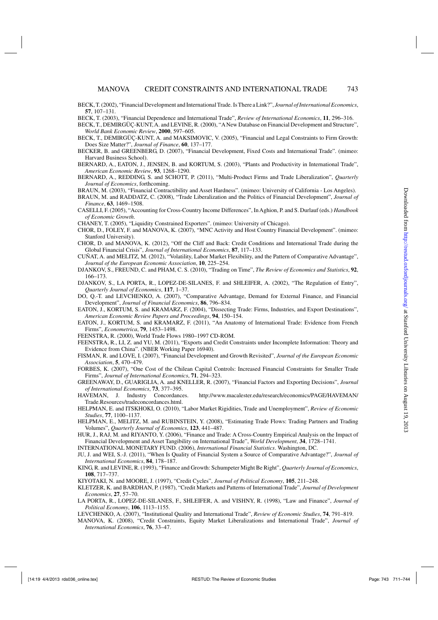- BECK, T. (2002), "Financial Development and International Trade. Is There a Link?", *Journal of International Economics*, **57**, 107–131.
- BECK, T. (2003), "Financial Dependence and International Trade", *Review of International Economics*, **11**, 296–316.
- BECK, T., DEMIRGÜÇ-KUNT,A. and LEVINE, R. (2000), "ANew Database on Financial Development and Structure", *World Bank Economic Review*, **2000**, 597–605.
- BECK, T., DEMIRGÜÇ-KUNT, A. and MAKSIMOVIC, V. (2005), "Financial and Legal Constraints to Firm Growth: Does Size Matter?", *Journal of Finance*, **60**, 137–177.
- BECKER, B. and GREENBERG, D. (2007), "Financial Development, Fixed Costs and International Trade". (mimeo: Harvard Business School).
- BERNARD, A., EATON, J., JENSEN, B. and KORTUM, S. (2003), "Plants and Productivity in International Trade", *American Economic Review*, **93**, 1268–1290.
- BERNARD, A., REDDING, S. and SCHOTT, P. (2011), "Multi-Product Firms and Trade Liberalization", *Quarterly Journal of Economics*, forthcoming.
- BRAUN, M. (2003), "Financial Contractibility and Asset Hardness". (mimeo: University of California Los Angeles).
- BRAUN, M. and RADDATZ, C. (2008), "Trade Liberalization and the Politics of Financial Development", *Journal of Finance*, **63**, 1469–1508.
- CASELLI, F. (2005), "Accounting for Cross-Country Income Differences", In Aghion, P. and S. Durlauf (eds.) *Handbook of Economic Growth*.
- CHANEY, T. (2005), "Liquidity Constrained Exporters". (mimeo: University of Chicago).
- CHOR, D., FOLEY, F. and MANOVA, K. (2007), "MNC Activity and Host Country Financial Development". (mimeo: Stanford University).
- CHOR, D. and MANOVA, K. (2012), "Off the Cliff and Back: Credit Conditions and International Trade during the Global Financial Crisis", *Journal of International Economics*, **87**, 117–133.
- CUÑAT, A. and MELITZ, M. (2012), "Volatility, Labor Market Flexibility, and the Pattern of Comparative Advantage", *Journal of the European Economic Association*, **10**, 225–254.
- DJANKOV, S., FREUND, C. and PHAM, C. S. (2010), "Trading on Time", *The Review of Economics and Statistics*, **92**, 166–173.
- DJANKOV, S., LA PORTA, R., LOPEZ-DE-SILANES, F. and SHLEIFER, A. (2002), "The Regulation of Entry", *Quarterly Journal of Economics*, **117**, 1–37.
- DO, Q.-T. and LEVCHENKO, A. (2007), "Comparative Advantage, Demand for External Finance, and Financial Development", *Journal of Financial Economics*, **86**, 796–834.
- EATON, J., KORTUM, S. and KRAMARZ, F. (2004), "Dissecting Trade: Firms, Industries, and Export Destinations", *American Economic Review Papers and Proceedings*, **94**, 150–154.
- EATON, J., KORTUM, S. and KRAMARZ, F. (2011), "An Anatomy of International Trade: Evidence from French Firms", *Econometrica*, **79**, 1453–1498.
- FEENSTRA, R. (2000), World Trade Flows 1980–1997 CD-ROM.
- FEENSTRA, R., LI, Z. and YU, M. (2011), "Exports and Credit Constraints under Incomplete Information: Theory and Evidence from China". (NBER Working Paper 16940).
- FISMAN, R. and LOVE, I. (2007), "Financial Development and Growth Revisited", *Journal of the European Economic Association*, **5**, 470–479.
- FORBES, K. (2007), "One Cost of the Chilean Capital Controls: Increased Financial Constraints for Smaller Trade Firms", *Journal of International Economics*, **71**, 294–323.
- GREENAWAY, D., GUARIGLIA, A. and KNELLER, R. (2007), "Financial Factors and Exporting Decisions", *Journal of International Economics*, **73**, 377–395.
- HAVEMAN, J. Industry Concordances. http://www.macalester.edu/research/economics/PAGE/HAVEMAN/ Trade.Resources/tradeconcordances.html.
- HELPMAN, E. and ITSKHOKI, O. (2010), "Labor Market Rigidities, Trade and Unemployment", *Review of Economic Studies*, **77**, 1100–1137.
- HELPMAN, E., MELITZ, M. and RUBINSTEIN, Y. (2008), "Estimating Trade Flows: Trading Partners and Trading Volumes", *Quarterly Journal of Economics*, **123**, 441–487.
- HUR, J., RAJ, M. and RIYANTO, Y. (2006), "Finance and Trade: A Cross-Country Empirical Analysis on the Impact of Financial Development and Asset Tangibility on International Trade", *World Development*, **34**, 1728–1741.
- INTERNATIONAL MONETARY FUND. (2006), *International Financial Statistics*. Washington, DC.
- JU, J. and WEI, S.-J. (2011), "When Is Quality of Financial System a Source of Comparative Advantage?", *Journal of International Economics*, **84**, 178–187.
- KING, R. and LEVINE, R. (1993), "Finance and Growth: Schumpeter Might Be Right", *Quarterly Journal of Economics*, **108**, 717–737.
- KIYOTAKI, N. and MOORE, J. (1997), "Credit Cycles", *Journal of Political Economy*, **105**, 211–248.
- KLETZER, K. and BARDHAN, P. (1987), "Credit Markets and Patterns of International Trade", *Journal of Development Economics*, **27**, 57–70.
- LA PORTA, R., LOPEZ-DE-SILANES, F., SHLEIFER, A. and VISHNY, R. (1998), "Law and Finance", *Journal of Political Economy*, **106**, 1113–1155.
- LEVCHENKO, A. (2007), "Institutional Quality and International Trade", *Review of Economic Studies*, **74**, 791–819.
- MANOVA, K. (2008), "Credit Constraints, Equity Market Liberalizations and International Trade", *Journal of International Economics*, **76**, 33–47.